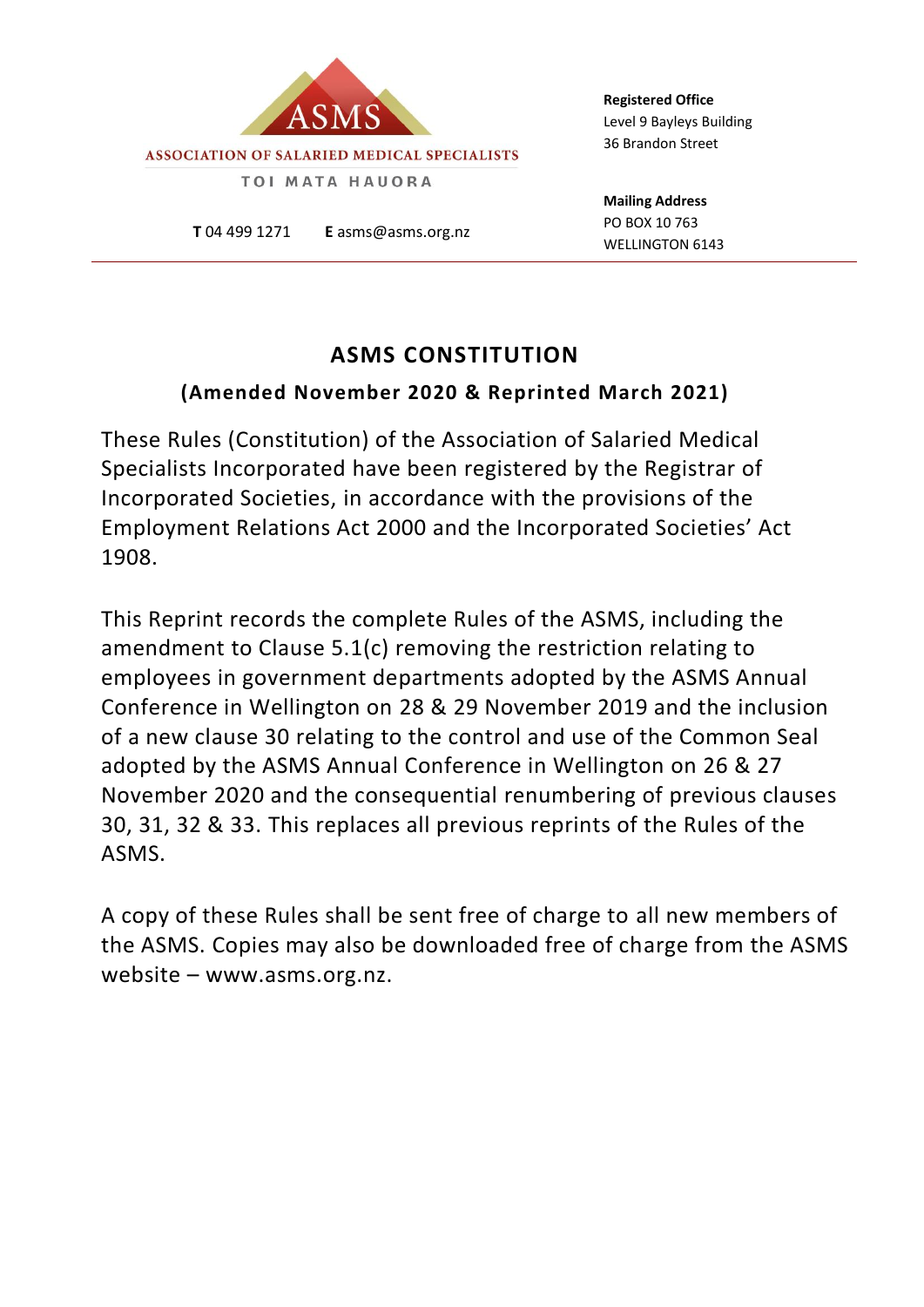

**T** 04 499 1271 **E** asms@asms.org.nz

**Registered Office** Level 9 Bayleys Building 36 Brandon Street

**Mailing Address** PO BOX 10 763 WELLINGTON 6143

### **ASMS CONSTITUTION**

#### **(Amended November 2020 & Reprinted March 2021)**

These Rules (Constitution) of the Association of Salaried Medical Specialists Incorporated have been registered by the Registrar of Incorporated Societies, in accordance with the provisions of the Employment Relations Act 2000 and the Incorporated Societies' Act 1908.

This Reprint records the complete Rules of the ASMS, including the amendment to Clause 5.1(c) removing the restriction relating to employees in government departments adopted by the ASMS Annual Conference in Wellington on 28 & 29 November 2019 and the inclusion of a new clause 30 relating to the control and use of the Common Seal adopted by the ASMS Annual Conference in Wellington on 26 & 27 November 2020 and the consequential renumbering of previous clauses 30, 31, 32 & 33. This replaces all previous reprints of the Rules of the ASMS.

A copy of these Rules shall be sent free of charge to all new members of the ASMS. Copies may also be downloaded free of charge from the ASMS website – www.asms.org.nz.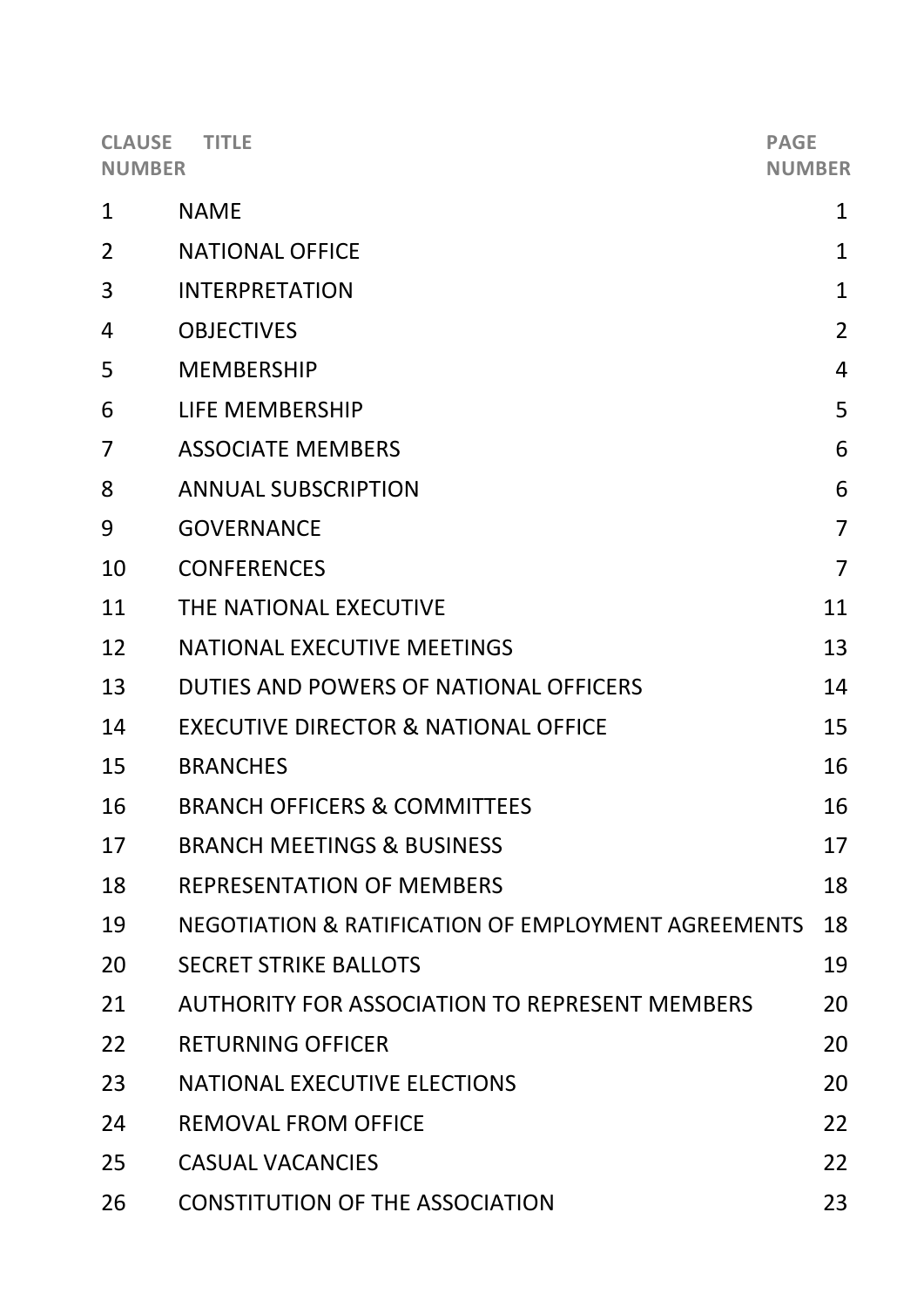| <b>CLAUSE</b><br><b>TITLE</b><br><b>NUMBER</b> |                                                       | <b>PAGE</b><br><b>NUMBER</b> |
|------------------------------------------------|-------------------------------------------------------|------------------------------|
| $\mathbf 1$                                    | <b>NAME</b>                                           | 1                            |
| $\overline{2}$                                 | <b>NATIONAL OFFICE</b>                                | $\mathbf{1}$                 |
| 3                                              | <b>INTERPRETATION</b>                                 | $\mathbf{1}$                 |
| 4                                              | <b>OBJECTIVES</b>                                     | $\overline{2}$               |
| 5                                              | <b>MEMBERSHIP</b>                                     | $\overline{4}$               |
| 6                                              | LIFE MEMBERSHIP                                       | 5                            |
| 7                                              | <b>ASSOCIATE MEMBERS</b>                              | 6                            |
| 8                                              | <b>ANNUAL SUBSCRIPTION</b>                            | 6                            |
| 9                                              | <b>GOVERNANCE</b>                                     | $\overline{7}$               |
| 10                                             | <b>CONFERENCES</b>                                    | $\overline{7}$               |
| 11                                             | THE NATIONAL EXECUTIVE                                | 11                           |
| 12                                             | <b>NATIONAL EXECUTIVE MEETINGS</b>                    | 13                           |
| 13                                             | DUTIES AND POWERS OF NATIONAL OFFICERS                | 14                           |
| 14                                             | <b>EXECUTIVE DIRECTOR &amp; NATIONAL OFFICE</b>       | 15                           |
| 15                                             | <b>BRANCHES</b>                                       | 16                           |
| 16                                             | <b>BRANCH OFFICERS &amp; COMMITTEES</b>               | 16                           |
| 17                                             | <b>BRANCH MEETINGS &amp; BUSINESS</b>                 | 17                           |
| 18                                             | <b>REPRESENTATION OF MEMBERS</b>                      | 18                           |
| 19                                             | NEGOTIATION & RATIFICATION OF EMPLOYMENT AGREEMENTS   | 18                           |
| 20                                             | <b>SECRET STRIKE BALLOTS</b>                          | 19                           |
| 21                                             | <b>AUTHORITY FOR ASSOCIATION TO REPRESENT MEMBERS</b> | 20                           |
| 22                                             | <b>RETURNING OFFICER</b>                              | 20                           |
| 23                                             | <b>NATIONAL EXECUTIVE ELECTIONS</b>                   | 20                           |
| 24                                             | <b>REMOVAL FROM OFFICE</b>                            | 22                           |
| 25                                             | <b>CASUAL VACANCIES</b>                               | 22                           |
| 26                                             | <b>CONSTITUTION OF THE ASSOCIATION</b>                | 23                           |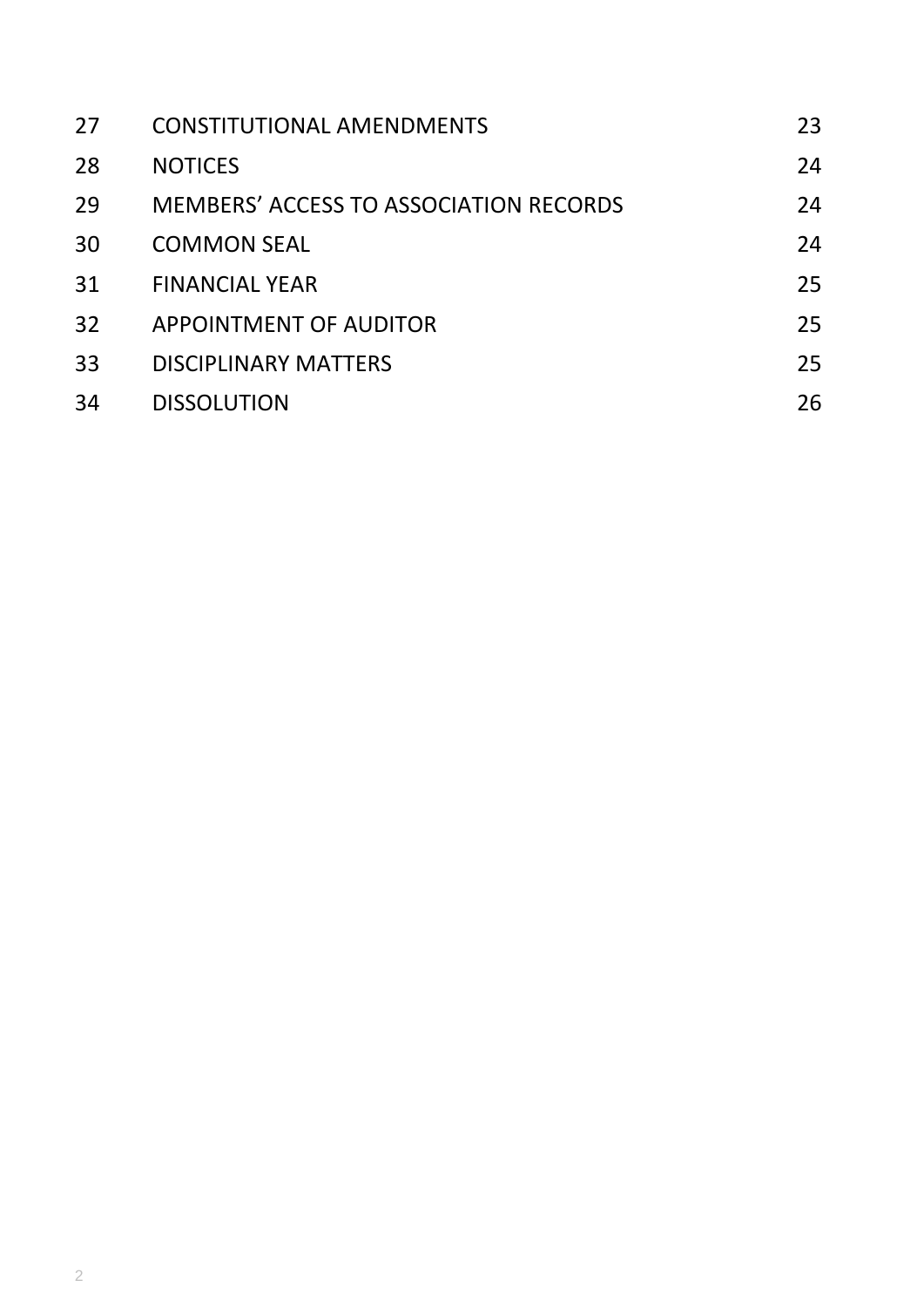| 27 | <b>CONSTITUTIONAL AMENDMENTS</b>              | 23 |
|----|-----------------------------------------------|----|
| 28 | <b>NOTICES</b>                                | 24 |
| 29 | <b>MEMBERS' ACCESS TO ASSOCIATION RECORDS</b> | 24 |
| 30 | <b>COMMON SEAL</b>                            | 24 |
| 31 | <b>FINANCIAL YEAR</b>                         | 25 |
| 32 | APPOINTMENT OF AUDITOR                        | 25 |
| 33 | <b>DISCIPLINARY MATTERS</b>                   | 25 |
| 34 | <b>DISSOLUTION</b>                            | 26 |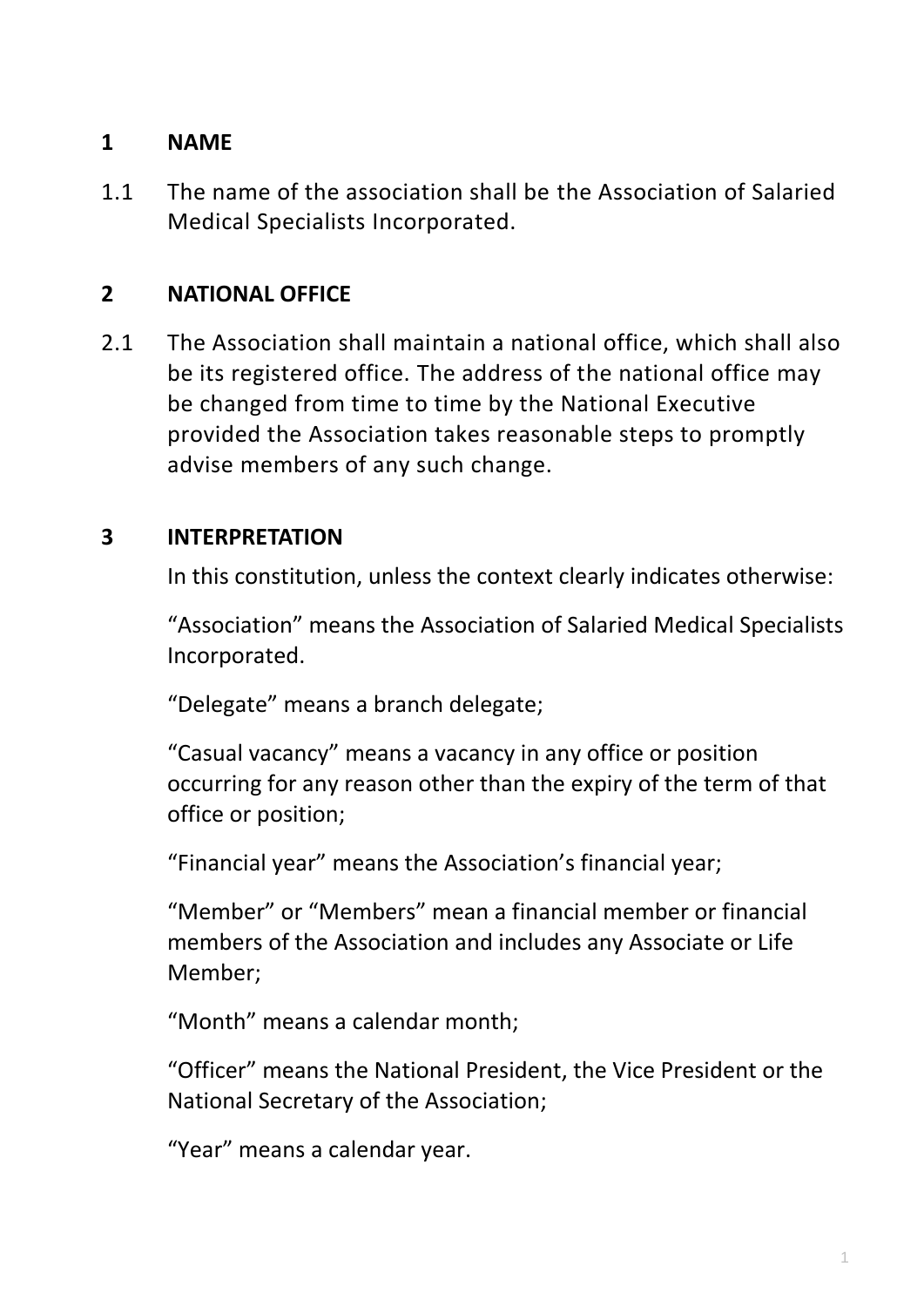# **1 NAME**

1.1 The name of the association shall be the Association of Salaried Medical Specialists Incorporated.

# **2 NATIONAL OFFICE**

2.1 The Association shall maintain a national office, which shall also be its registered office. The address of the national office may be changed from time to time by the National Executive provided the Association takes reasonable steps to promptly advise members of any such change.

### **3 INTERPRETATION**

In this constitution, unless the context clearly indicates otherwise:

"Association" means the Association of Salaried Medical Specialists Incorporated.

"Delegate" means a branch delegate;

"Casual vacancy" means a vacancy in any office or position occurring for any reason other than the expiry of the term of that office or position;

"Financial year" means the Association's financial year;

"Member" or "Members" mean a financial member or financial members of the Association and includes any Associate or Life Member;

"Month" means a calendar month;

"Officer" means the National President, the Vice President or the National Secretary of the Association;

"Year" means a calendar year.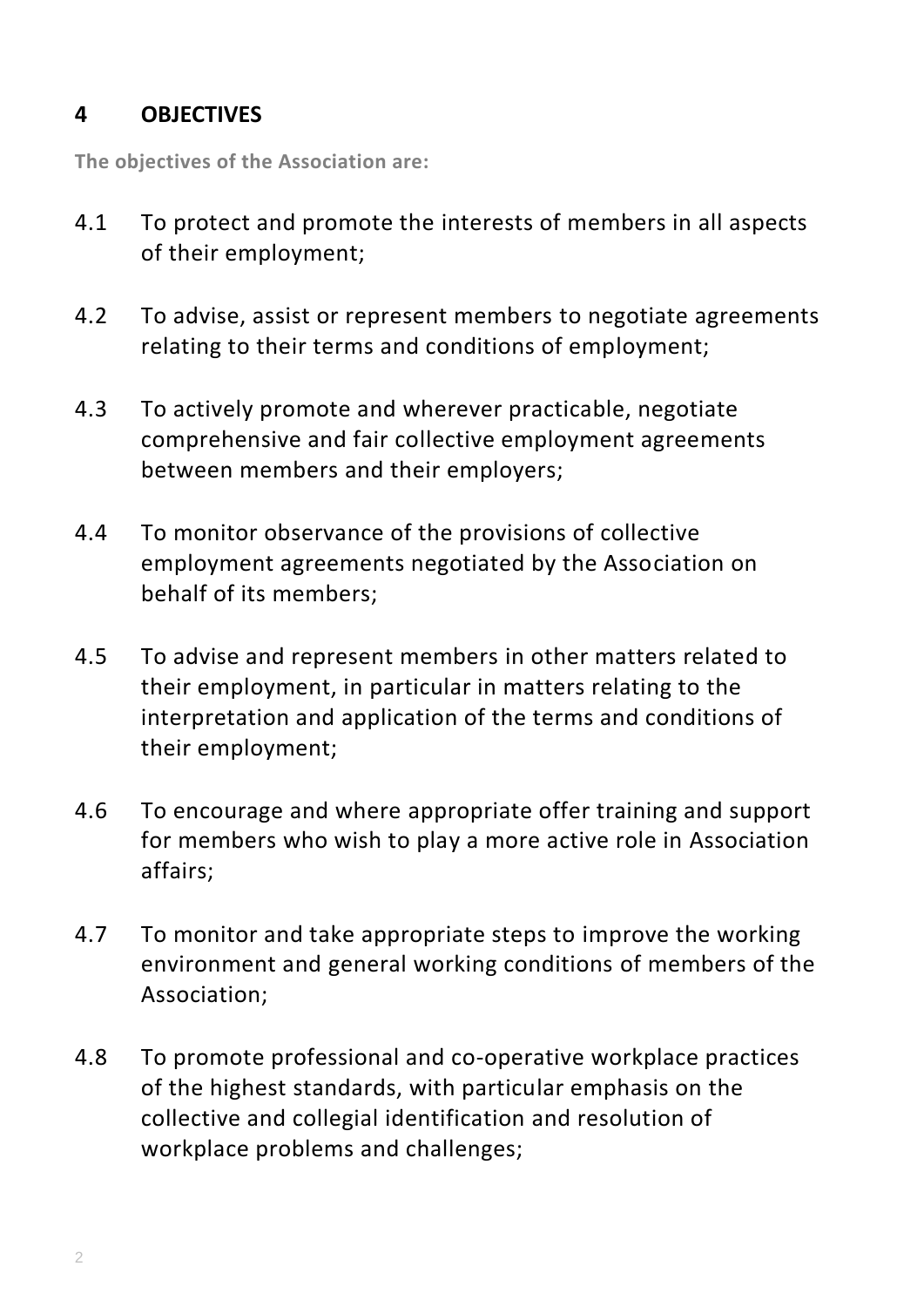#### **4 OBJECTIVES**

**The objectives of the Association are:**

- 4.1 To protect and promote the interests of members in all aspects of their employment;
- 4.2 To advise, assist or represent members to negotiate agreements relating to their terms and conditions of employment;
- 4.3 To actively promote and wherever practicable, negotiate comprehensive and fair collective employment agreements between members and their employers;
- 4.4 To monitor observance of the provisions of collective employment agreements negotiated by the Association on behalf of its members;
- 4.5 To advise and represent members in other matters related to their employment, in particular in matters relating to the interpretation and application of the terms and conditions of their employment;
- 4.6 To encourage and where appropriate offer training and support for members who wish to play a more active role in Association affairs;
- 4.7 To monitor and take appropriate steps to improve the working environment and general working conditions of members of the Association;
- 4.8 To promote professional and co-operative workplace practices of the highest standards, with particular emphasis on the collective and collegial identification and resolution of workplace problems and challenges;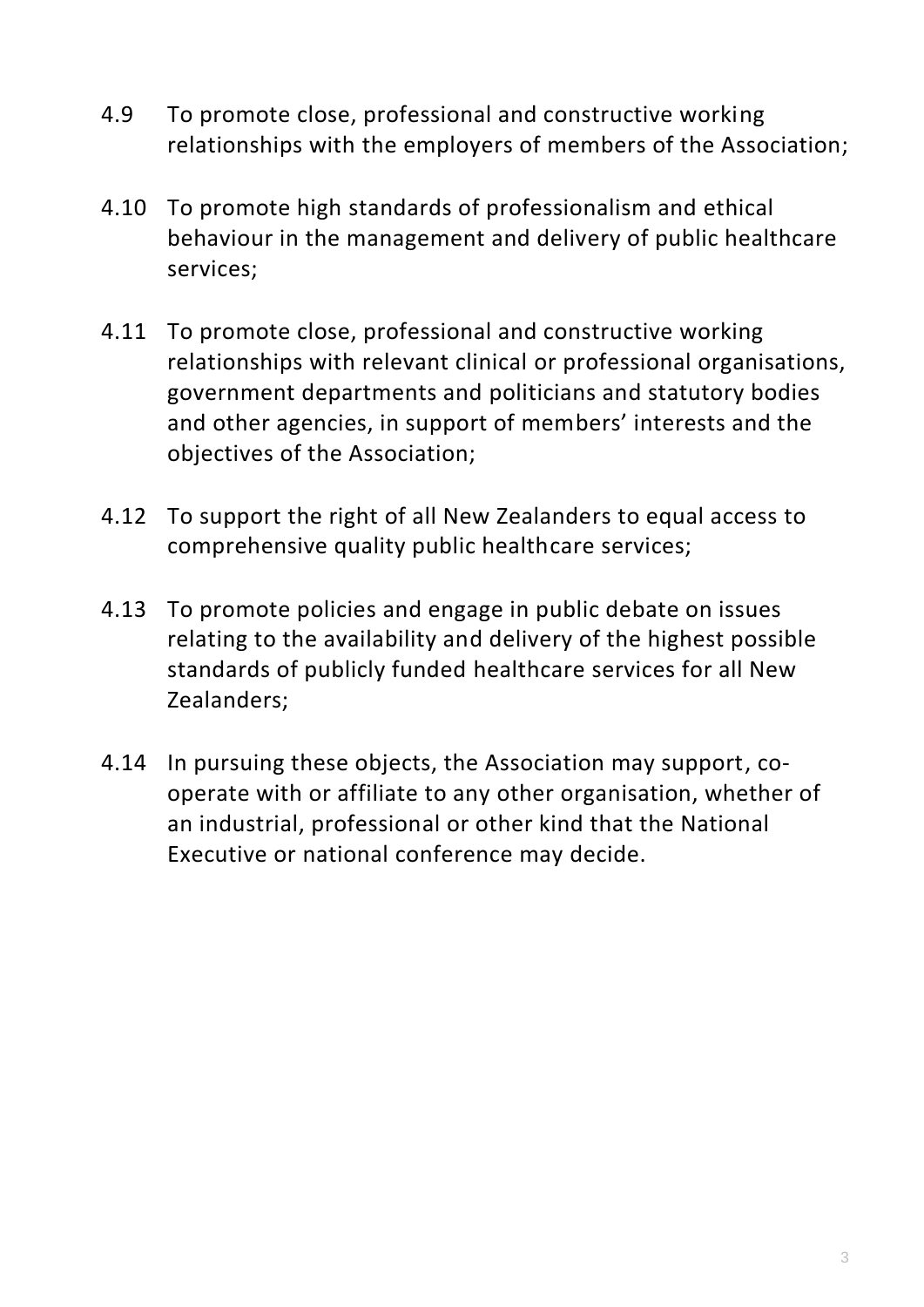- 4.9 To promote close, professional and constructive working relationships with the employers of members of the Association;
- 4.10 To promote high standards of professionalism and ethical behaviour in the management and delivery of public healthcare services;
- 4.11 To promote close, professional and constructive working relationships with relevant clinical or professional organisations, government departments and politicians and statutory bodies and other agencies, in support of members' interests and the objectives of the Association;
- 4.12 To support the right of all New Zealanders to equal access to comprehensive quality public healthcare services;
- 4.13 To promote policies and engage in public debate on issues relating to the availability and delivery of the highest possible standards of publicly funded healthcare services for all New Zealanders;
- 4.14 In pursuing these objects, the Association may support, cooperate with or affiliate to any other organisation, whether of an industrial, professional or other kind that the National Executive or national conference may decide.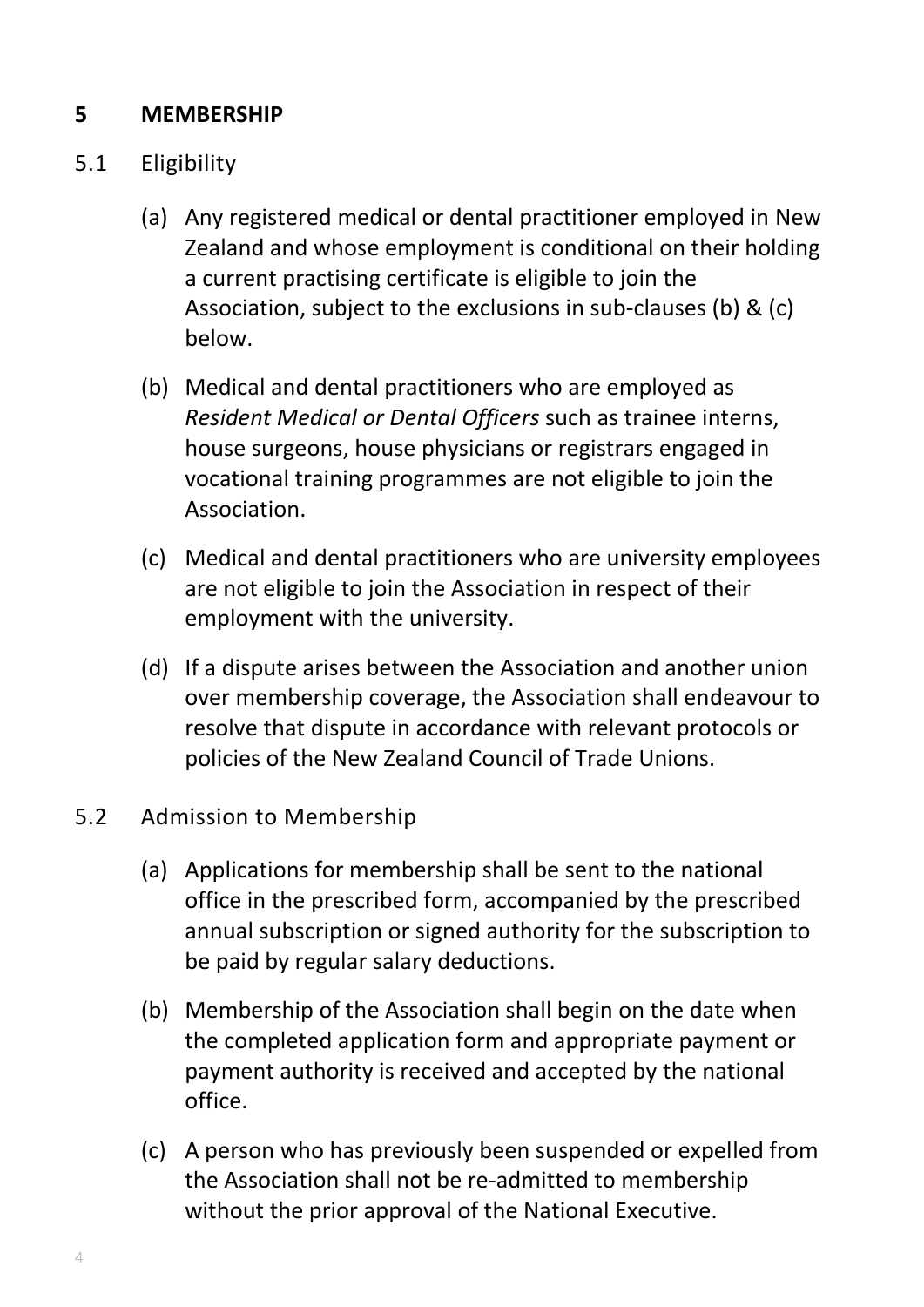# **5 MEMBERSHIP**

- 5.1 Eligibility
	- (a) Any registered medical or dental practitioner employed in New Zealand and whose employment is conditional on their holding a current practising certificate is eligible to join the Association, subject to the exclusions in sub-clauses (b) & (c) below.
	- (b) Medical and dental practitioners who are employed as *Resident Medical or Dental Officers* such as trainee interns, house surgeons, house physicians or registrars engaged in vocational training programmes are not eligible to join the Association.
	- (c) Medical and dental practitioners who are university employees are not eligible to join the Association in respect of their employment with the university.
	- (d) If a dispute arises between the Association and another union over membership coverage, the Association shall endeavour to resolve that dispute in accordance with relevant protocols or policies of the New Zealand Council of Trade Unions.

#### 5.2 Admission to Membership

- (a) Applications for membership shall be sent to the national office in the prescribed form, accompanied by the prescribed annual subscription or signed authority for the subscription to be paid by regular salary deductions.
- (b) Membership of the Association shall begin on the date when the completed application form and appropriate payment or payment authority is received and accepted by the national office.
- (c) A person who has previously been suspended or expelled from the Association shall not be re-admitted to membership without the prior approval of the National Executive.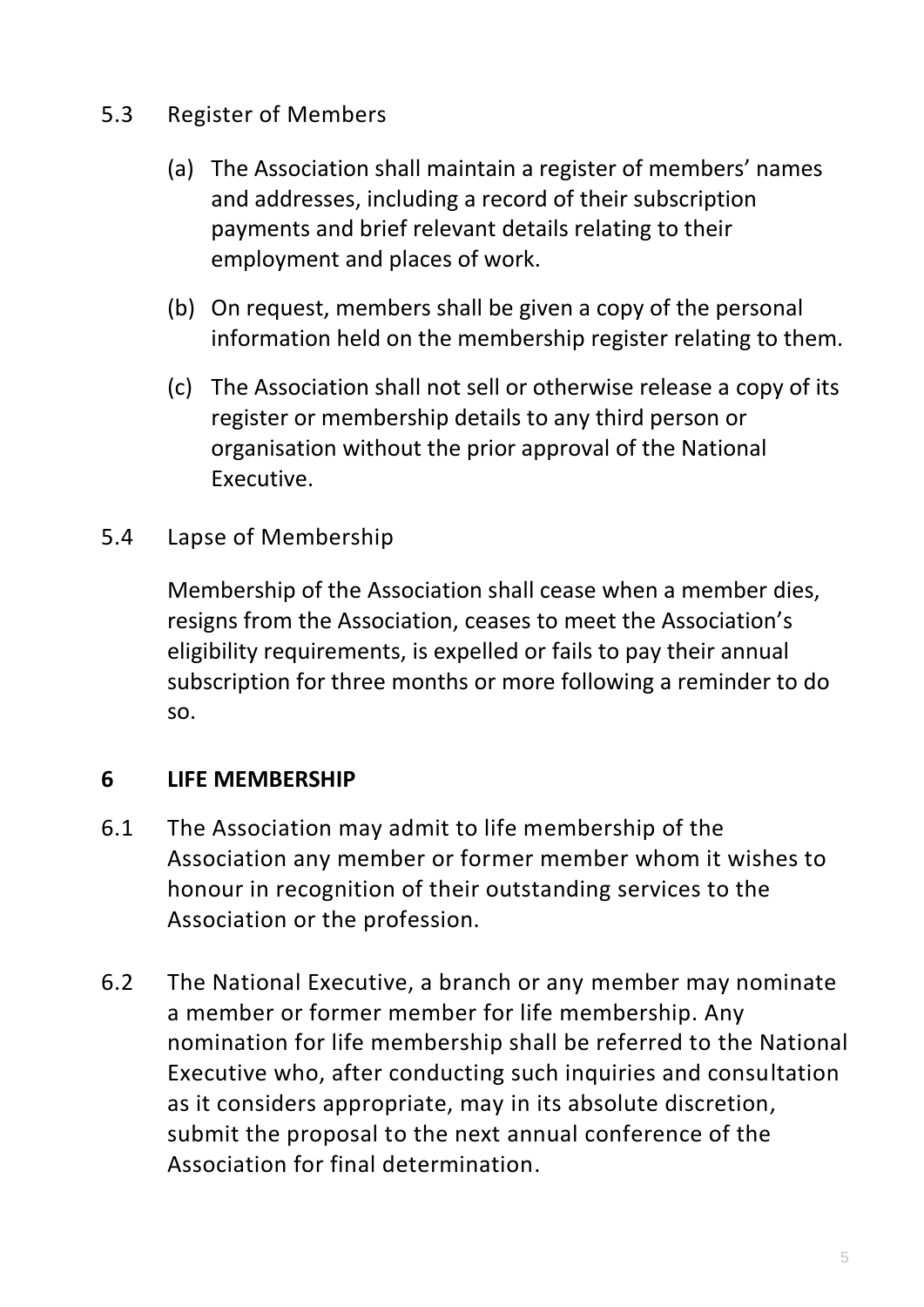- 5.3 Register of Members
	- (a) The Association shall maintain a register of members' names and addresses, including a record of their subscription payments and brief relevant details relating to their employment and places of work.
	- (b) On request, members shall be given a copy of the personal information held on the membership register relating to them.
	- (c) The Association shall not sell or otherwise release a copy of its register or membership details to any third person or organisation without the prior approval of the National Executive.
- 5.4 Lapse of Membership

Membership of the Association shall cease when a member dies, resigns from the Association, ceases to meet the Association's eligibility requirements, is expelled or fails to pay their annual subscription for three months or more following a reminder to do so.

### **6 LIFE MEMBERSHIP**

- 6.1 The Association may admit to life membership of the Association any member or former member whom it wishes to honour in recognition of their outstanding services to the Association or the profession.
- 6.2 The National Executive, a branch or any member may nominate a member or former member for life membership. Any nomination for life membership shall be referred to the National Executive who, after conducting such inquiries and consultation as it considers appropriate, may in its absolute discretion, submit the proposal to the next annual conference of the Association for final determination.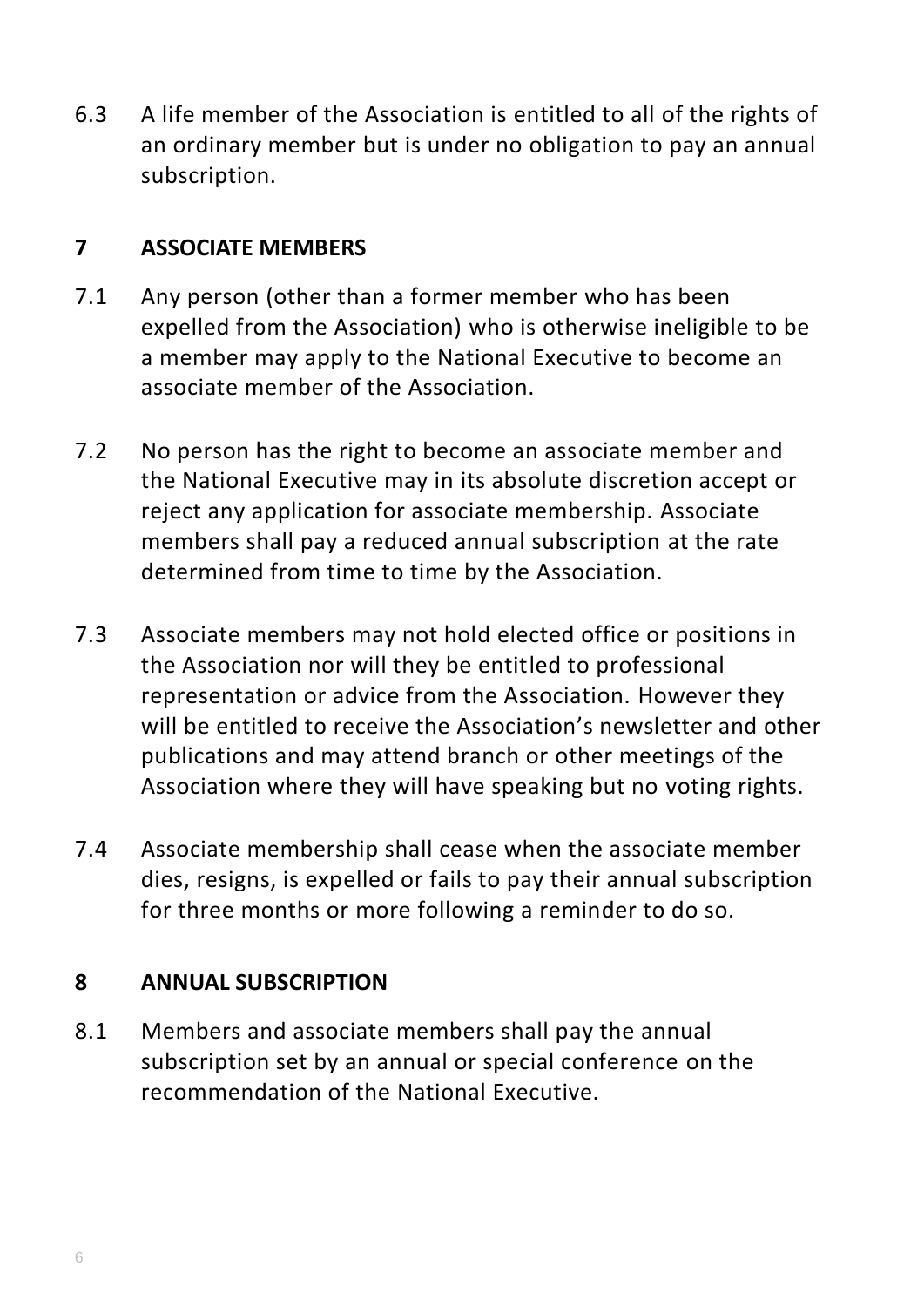6.3 A life member of the Association is entitled to all of the rights of an ordinary member but is under no obligation to pay an annual subscription.

#### **7 ASSOCIATE MEMBERS**

- 7.1 Any person (other than a former member who has been expelled from the Association) who is otherwise ineligible to be a member may apply to the National Executive to become an associate member of the Association.
- 7.2 No person has the right to become an associate member and the National Executive may in its absolute discretion accept or reject any application for associate membership. Associate members shall pay a reduced annual subscription at the rate determined from time to time by the Association.
- 7.3 Associate members may not hold elected office or positions in the Association nor will they be entitled to professional representation or advice from the Association. However they will be entitled to receive the Association's newsletter and other publications and may attend branch or other meetings of the Association where they will have speaking but no voting rights.
- 7.4 Associate membership shall cease when the associate member dies, resigns, is expelled or fails to pay their annual subscription for three months or more following a reminder to do so.

### **8 ANNUAL SUBSCRIPTION**

8.1 Members and associate members shall pay the annual subscription set by an annual or special conference on the recommendation of the National Executive.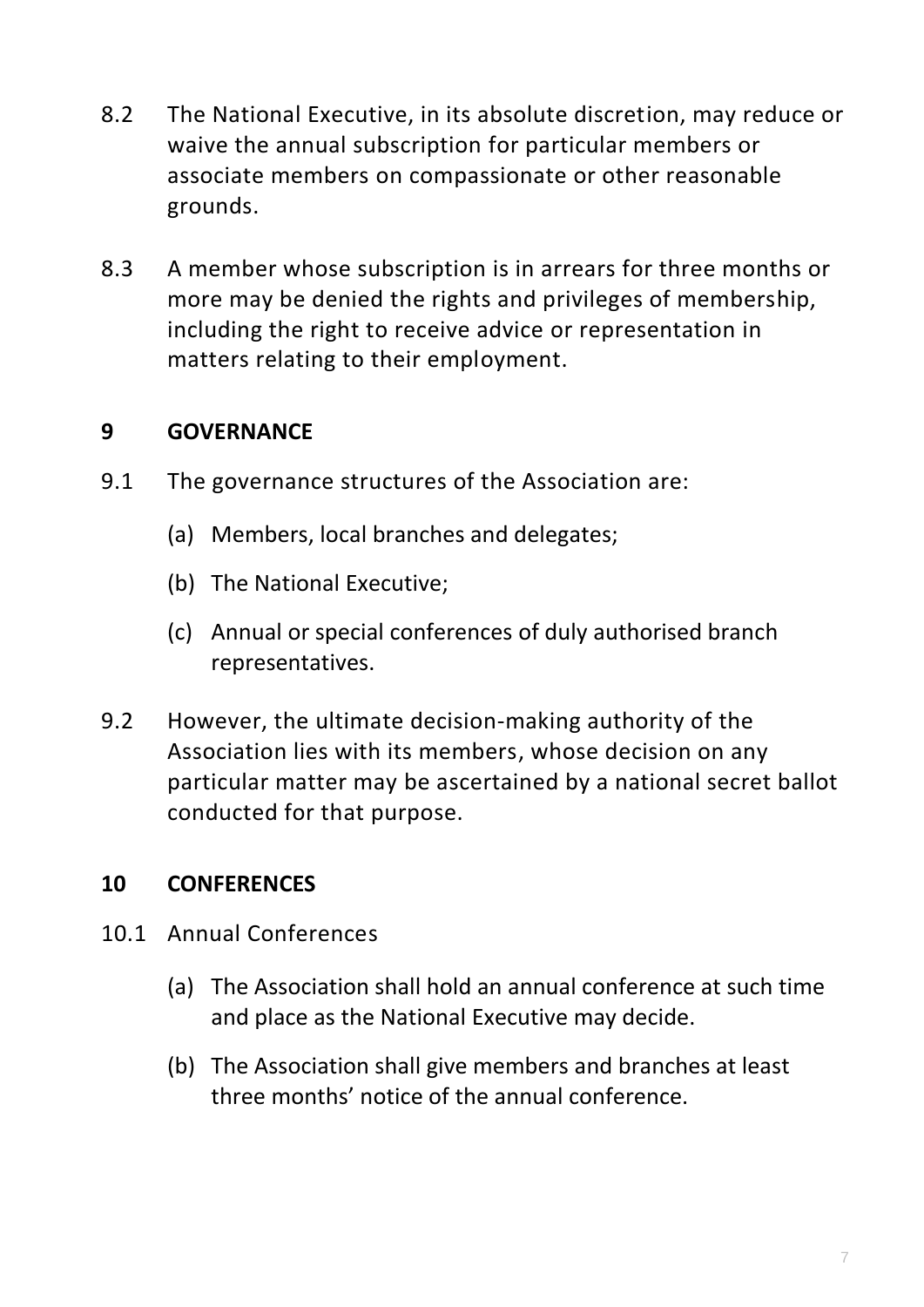- 8.2 The National Executive, in its absolute discretion, may reduce or waive the annual subscription for particular members or associate members on compassionate or other reasonable grounds.
- 8.3 A member whose subscription is in arrears for three months or more may be denied the rights and privileges of membership, including the right to receive advice or representation in matters relating to their employment.

# **9 GOVERNANCE**

- 9.1 The governance structures of the Association are:
	- (a) Members, local branches and delegates;
	- (b) The National Executive;
	- (c) Annual or special conferences of duly authorised branch representatives.
- 9.2 However, the ultimate decision-making authority of the Association lies with its members, whose decision on any particular matter may be ascertained by a national secret ballot conducted for that purpose.

### **10 CONFERENCES**

- 10.1 Annual Conferences
	- (a) The Association shall hold an annual conference at such time and place as the National Executive may decide.
	- (b) The Association shall give members and branches at least three months' notice of the annual conference.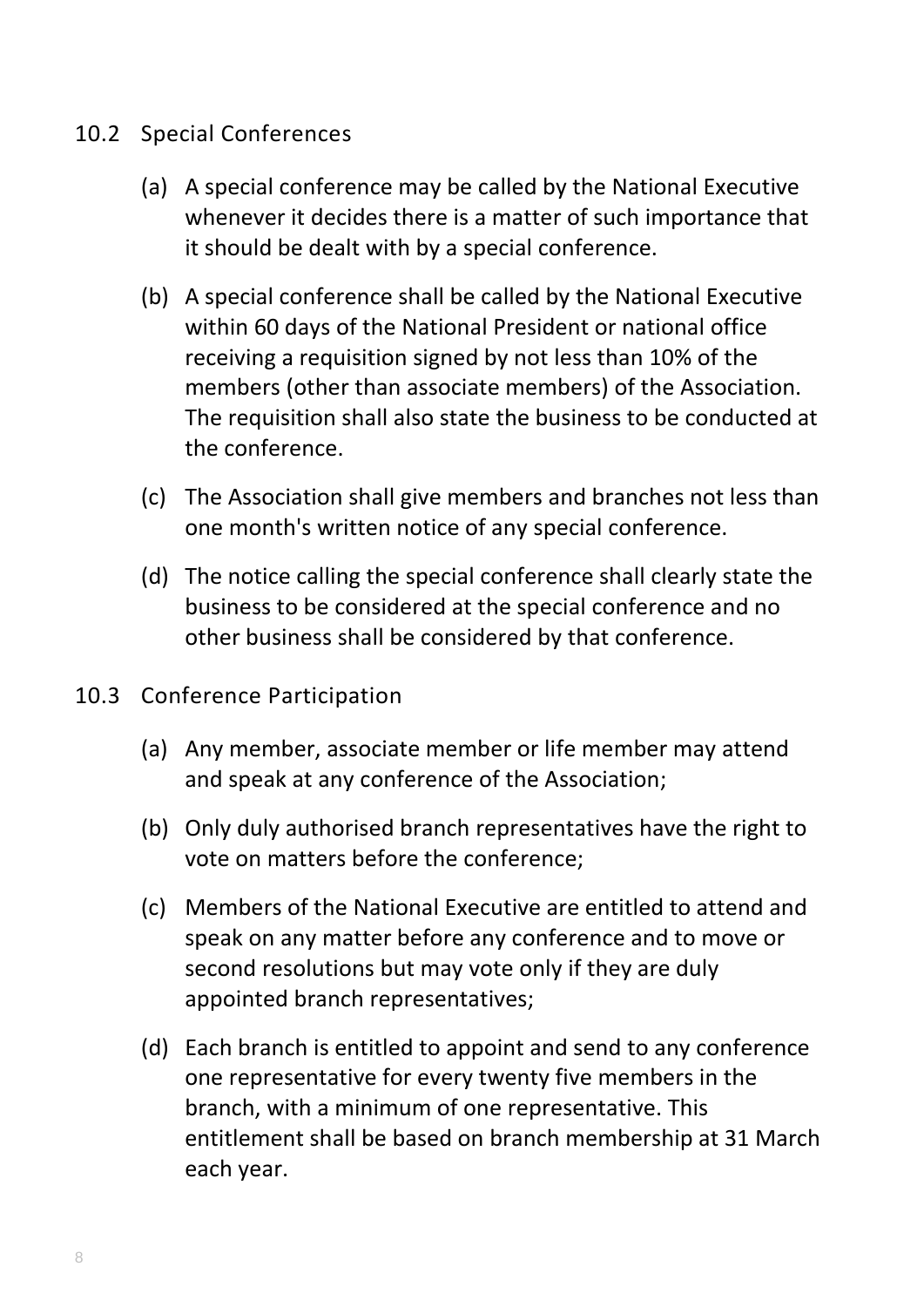#### 10.2 Special Conferences

- (a) A special conference may be called by the National Executive whenever it decides there is a matter of such importance that it should be dealt with by a special conference.
- (b) A special conference shall be called by the National Executive within 60 days of the National President or national office receiving a requisition signed by not less than 10% of the members (other than associate members) of the Association. The requisition shall also state the business to be conducted at the conference.
- (c) The Association shall give members and branches not less than one month's written notice of any special conference.
- (d) The notice calling the special conference shall clearly state the business to be considered at the special conference and no other business shall be considered by that conference.
- 10.3 Conference Participation
	- (a) Any member, associate member or life member may attend and speak at any conference of the Association;
	- (b) Only duly authorised branch representatives have the right to vote on matters before the conference;
	- (c) Members of the National Executive are entitled to attend and speak on any matter before any conference and to move or second resolutions but may vote only if they are duly appointed branch representatives;
	- (d) Each branch is entitled to appoint and send to any conference one representative for every twenty five members in the branch, with a minimum of one representative. This entitlement shall be based on branch membership at 31 March each year.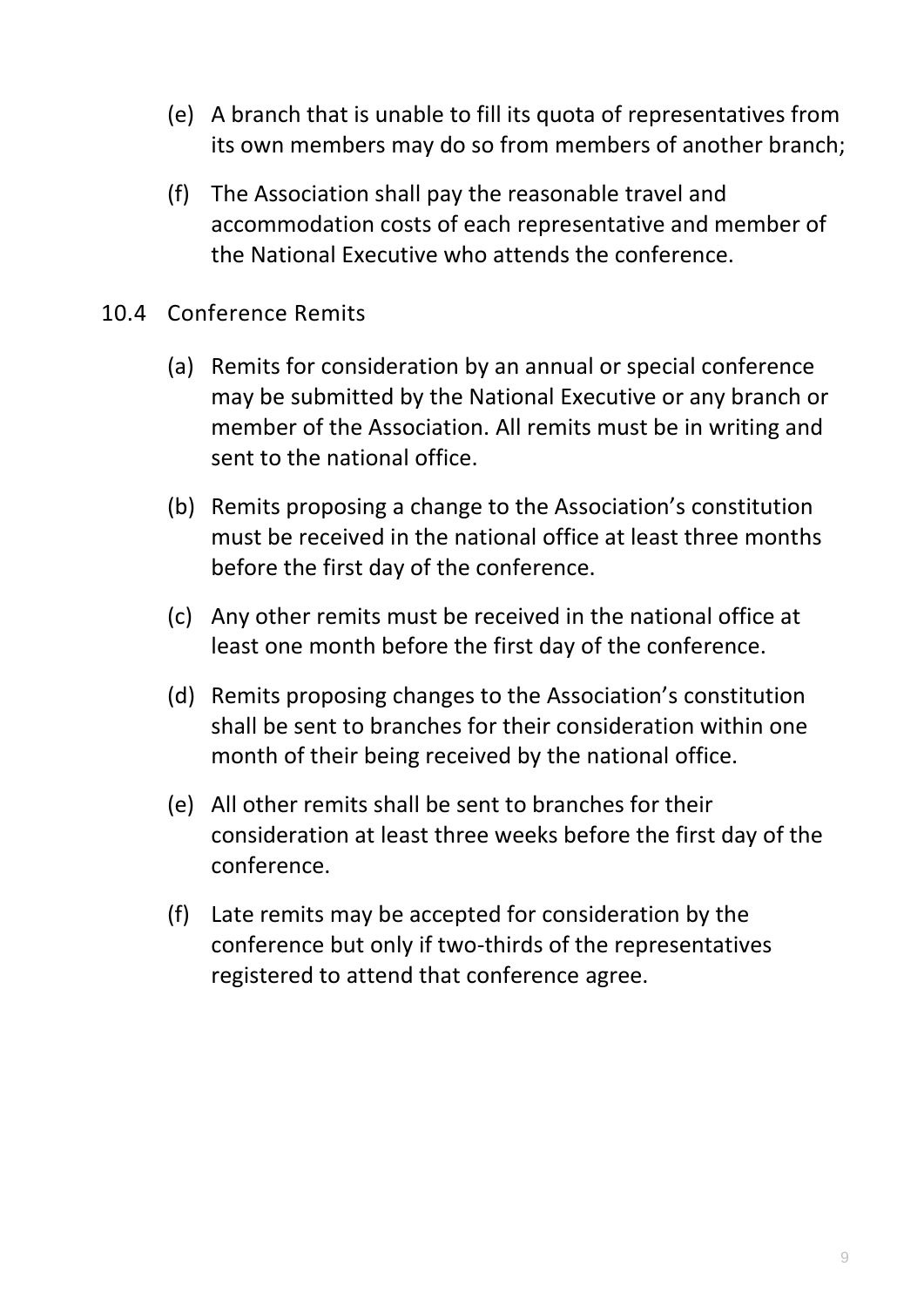- (e) A branch that is unable to fill its quota of representatives from its own members may do so from members of another branch;
- (f) The Association shall pay the reasonable travel and accommodation costs of each representative and member of the National Executive who attends the conference.
- 10.4 Conference Remits
	- (a) Remits for consideration by an annual or special conference may be submitted by the National Executive or any branch or member of the Association. All remits must be in writing and sent to the national office.
	- (b) Remits proposing a change to the Association's constitution must be received in the national office at least three months before the first day of the conference.
	- (c) Any other remits must be received in the national office at least one month before the first day of the conference.
	- (d) Remits proposing changes to the Association's constitution shall be sent to branches for their consideration within one month of their being received by the national office.
	- (e) All other remits shall be sent to branches for their consideration at least three weeks before the first day of the conference.
	- (f) Late remits may be accepted for consideration by the conference but only if two-thirds of the representatives registered to attend that conference agree.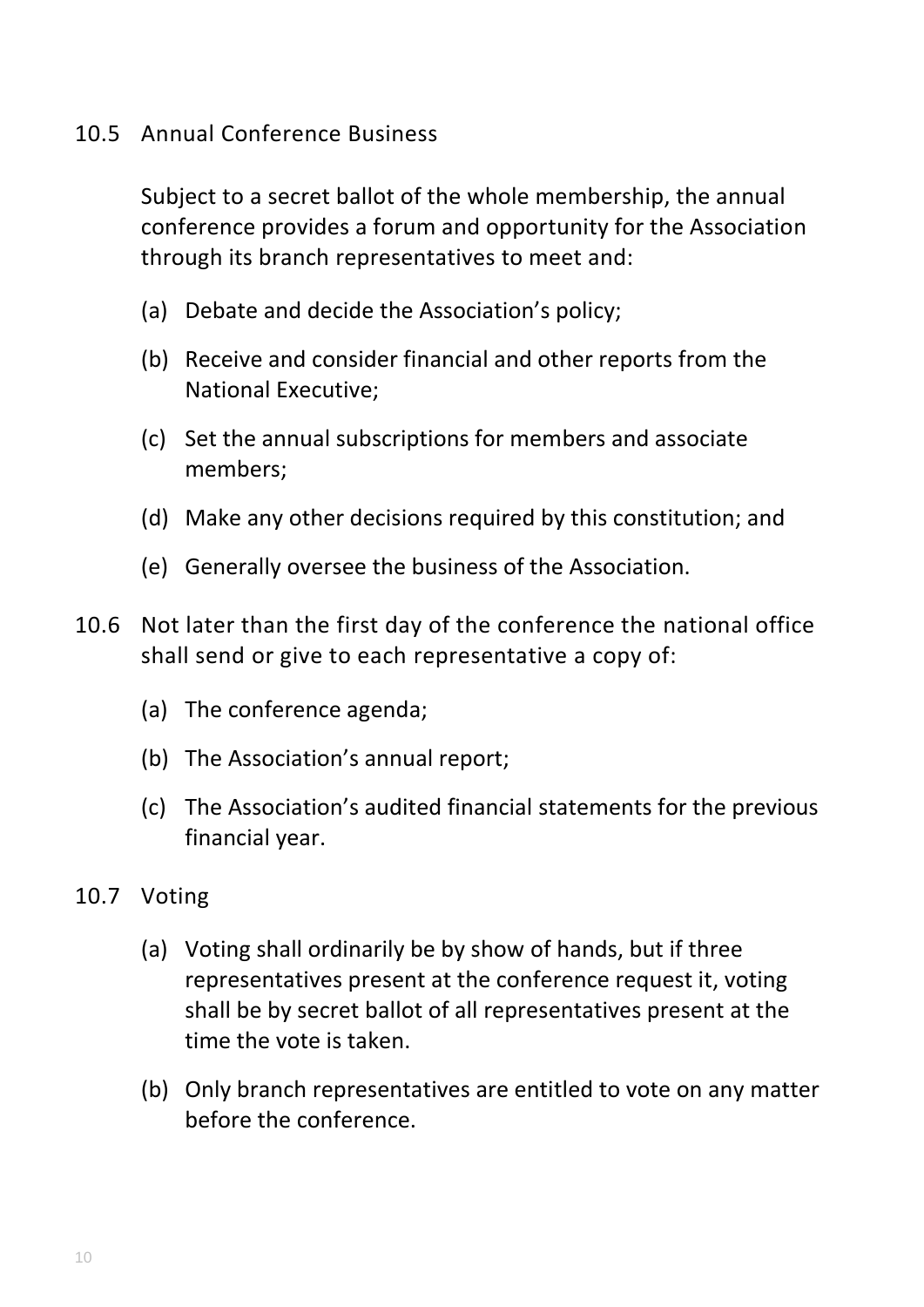#### 10.5 Annual Conference Business

Subject to a secret ballot of the whole membership, the annual conference provides a forum and opportunity for the Association through its branch representatives to meet and:

- (a) Debate and decide the Association's policy;
- (b) Receive and consider financial and other reports from the National Executive;
- (c) Set the annual subscriptions for members and associate members;
- (d) Make any other decisions required by this constitution; and
- (e) Generally oversee the business of the Association.
- 10.6 Not later than the first day of the conference the national office shall send or give to each representative a copy of:
	- (a) The conference agenda;
	- (b) The Association's annual report;
	- (c) The Association's audited financial statements for the previous financial year.
- 10.7 Voting
	- (a) Voting shall ordinarily be by show of hands, but if three representatives present at the conference request it, voting shall be by secret ballot of all representatives present at the time the vote is taken.
	- (b) Only branch representatives are entitled to vote on any matter before the conference.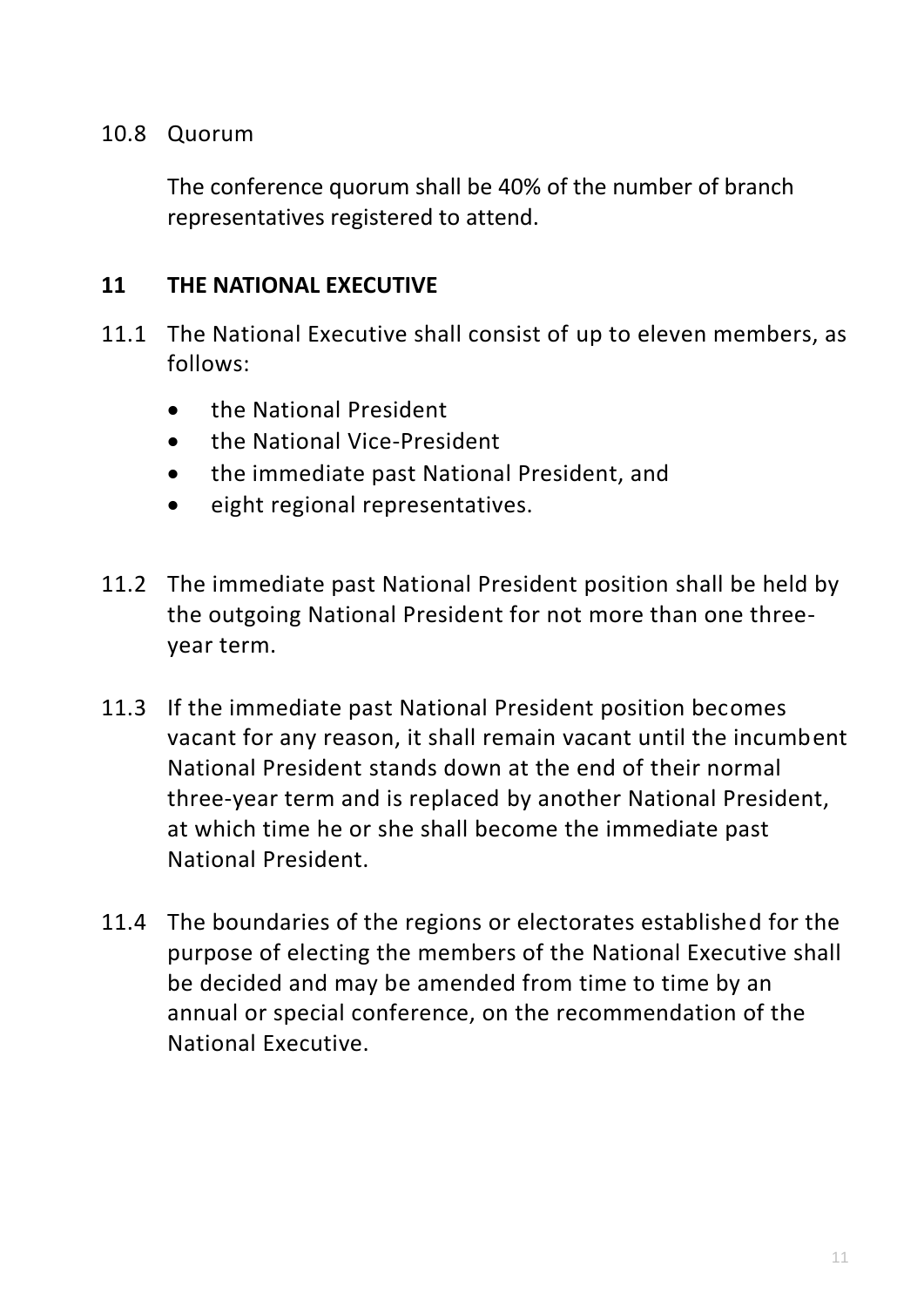#### 10.8 Quorum

The conference quorum shall be 40% of the number of branch representatives registered to attend.

#### **11 THE NATIONAL EXECUTIVE**

- 11.1 The National Executive shall consist of up to eleven members, as follows:
	- the National President
	- the National Vice-President
	- the immediate past National President, and
	- eight regional representatives.
- 11.2 The immediate past National President position shall be held by the outgoing National President for not more than one threeyear term.
- 11.3 If the immediate past National President position becomes vacant for any reason, it shall remain vacant until the incumbent National President stands down at the end of their normal three-year term and is replaced by another National President, at which time he or she shall become the immediate past National President.
- 11.4 The boundaries of the regions or electorates established for the purpose of electing the members of the National Executive shall be decided and may be amended from time to time by an annual or special conference, on the recommendation of the National Executive.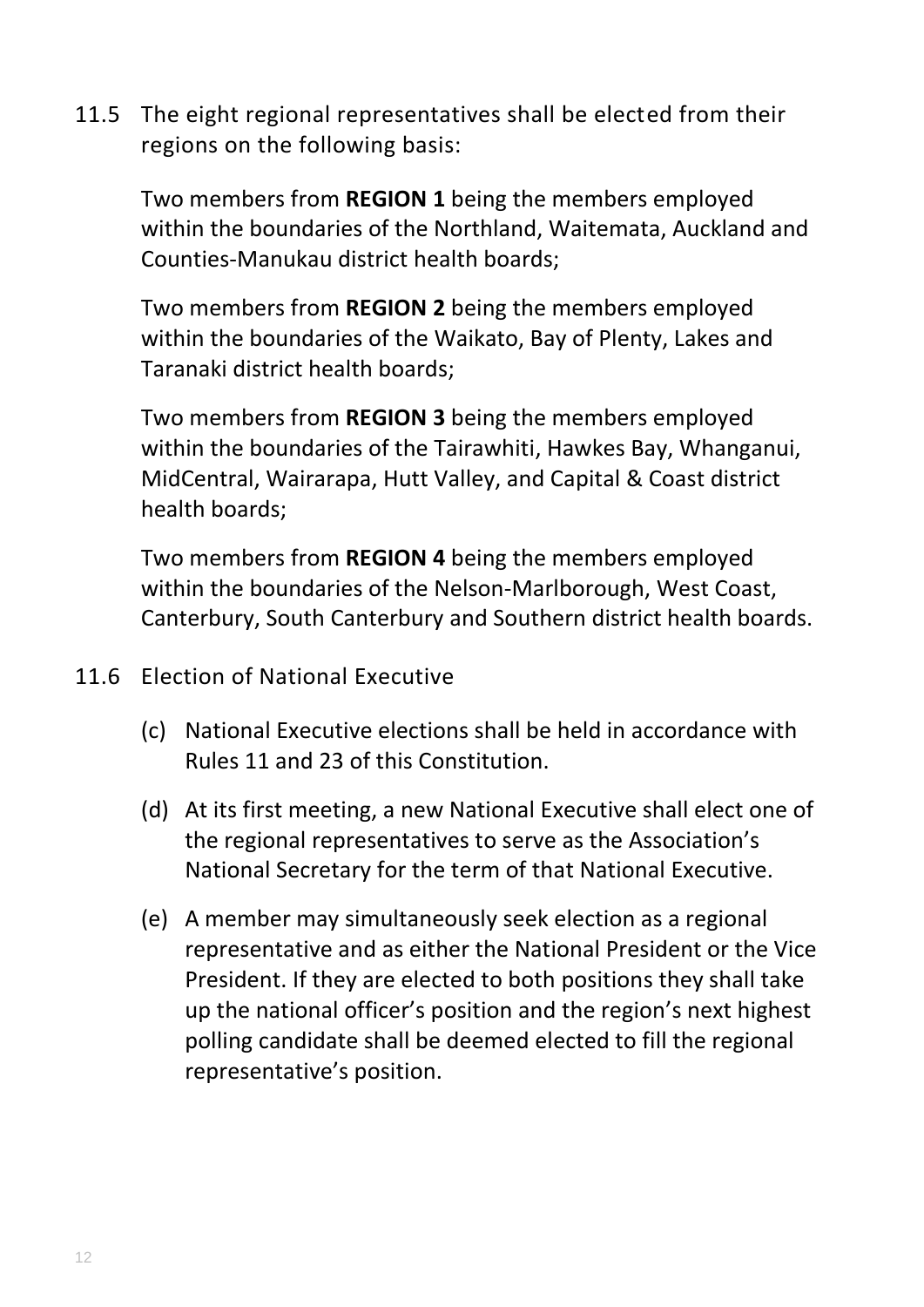11.5 The eight regional representatives shall be elected from their regions on the following basis:

Two members from **REGION 1** being the members employed within the boundaries of the Northland, Waitemata, Auckland and Counties-Manukau district health boards;

Two members from **REGION 2** being the members employed within the boundaries of the Waikato, Bay of Plenty, Lakes and Taranaki district health boards;

Two members from **REGION 3** being the members employed within the boundaries of the Tairawhiti, Hawkes Bay, Whanganui, MidCentral, Wairarapa, Hutt Valley, and Capital & Coast district health boards;

Two members from **REGION 4** being the members employed within the boundaries of the Nelson-Marlborough, West Coast, Canterbury, South Canterbury and Southern district health boards.

- 11.6 Election of National Executive
	- (c) National Executive elections shall be held in accordance with Rules 11 and 23 of this Constitution.
	- (d) At its first meeting, a new National Executive shall elect one of the regional representatives to serve as the Association's National Secretary for the term of that National Executive.
	- (e) A member may simultaneously seek election as a regional representative and as either the National President or the Vice President. If they are elected to both positions they shall take up the national officer's position and the region's next highest polling candidate shall be deemed elected to fill the regional representative's position.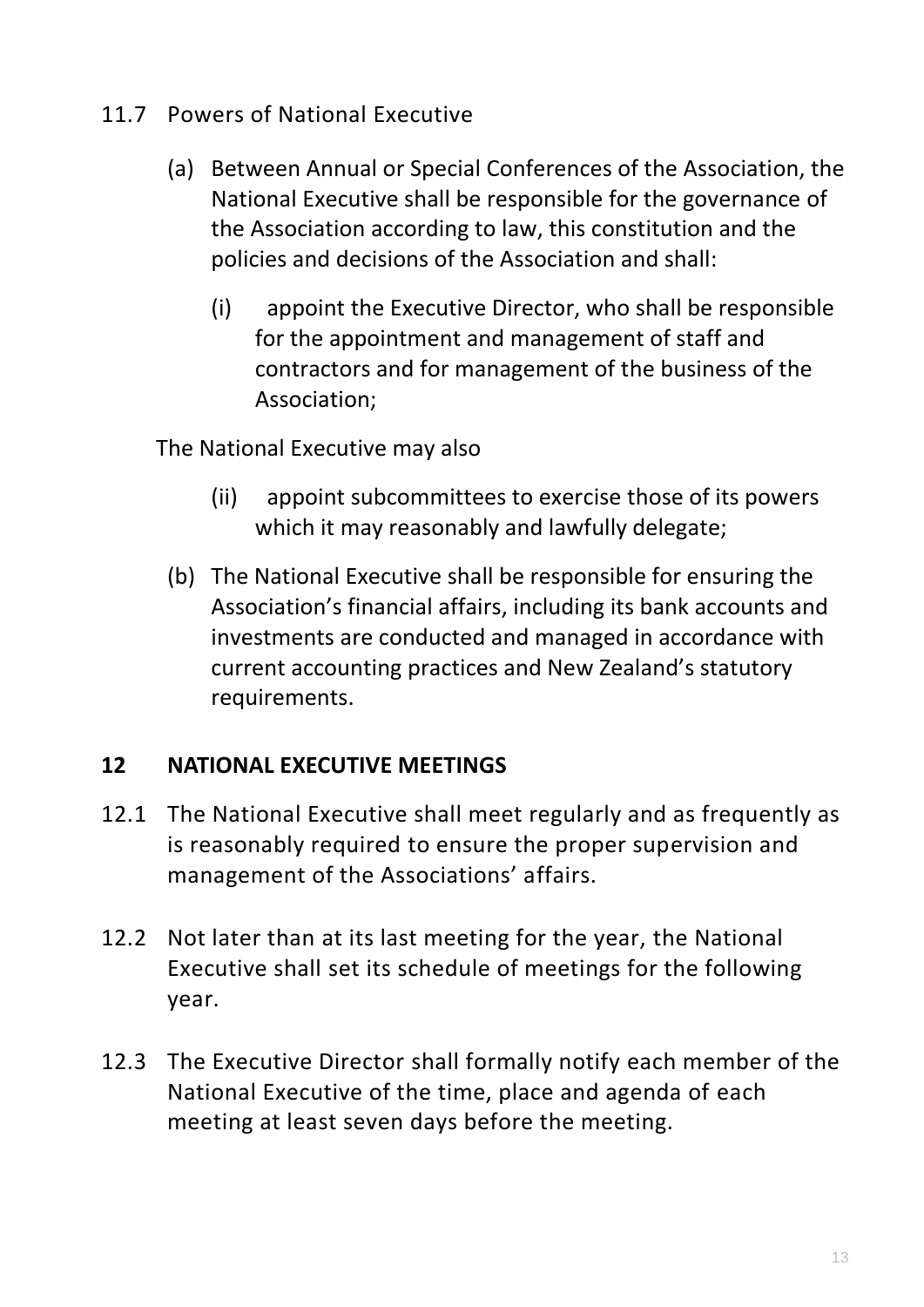- 11.7 Powers of National Executive
	- (a) Between Annual or Special Conferences of the Association, the National Executive shall be responsible for the governance of the Association according to law, this constitution and the policies and decisions of the Association and shall:
		- (i) appoint the Executive Director, who shall be responsible for the appointment and management of staff and contractors and for management of the business of the Association;

The National Executive may also

- (ii) appoint subcommittees to exercise those of its powers which it may reasonably and lawfully delegate;
- (b) The National Executive shall be responsible for ensuring the Association's financial affairs, including its bank accounts and investments are conducted and managed in accordance with current accounting practices and New Zealand's statutory requirements.

### **12 NATIONAL EXECUTIVE MEETINGS**

- 12.1 The National Executive shall meet regularly and as frequently as is reasonably required to ensure the proper supervision and management of the Associations' affairs.
- 12.2 Not later than at its last meeting for the year, the National Executive shall set its schedule of meetings for the following year.
- 12.3 The Executive Director shall formally notify each member of the National Executive of the time, place and agenda of each meeting at least seven days before the meeting.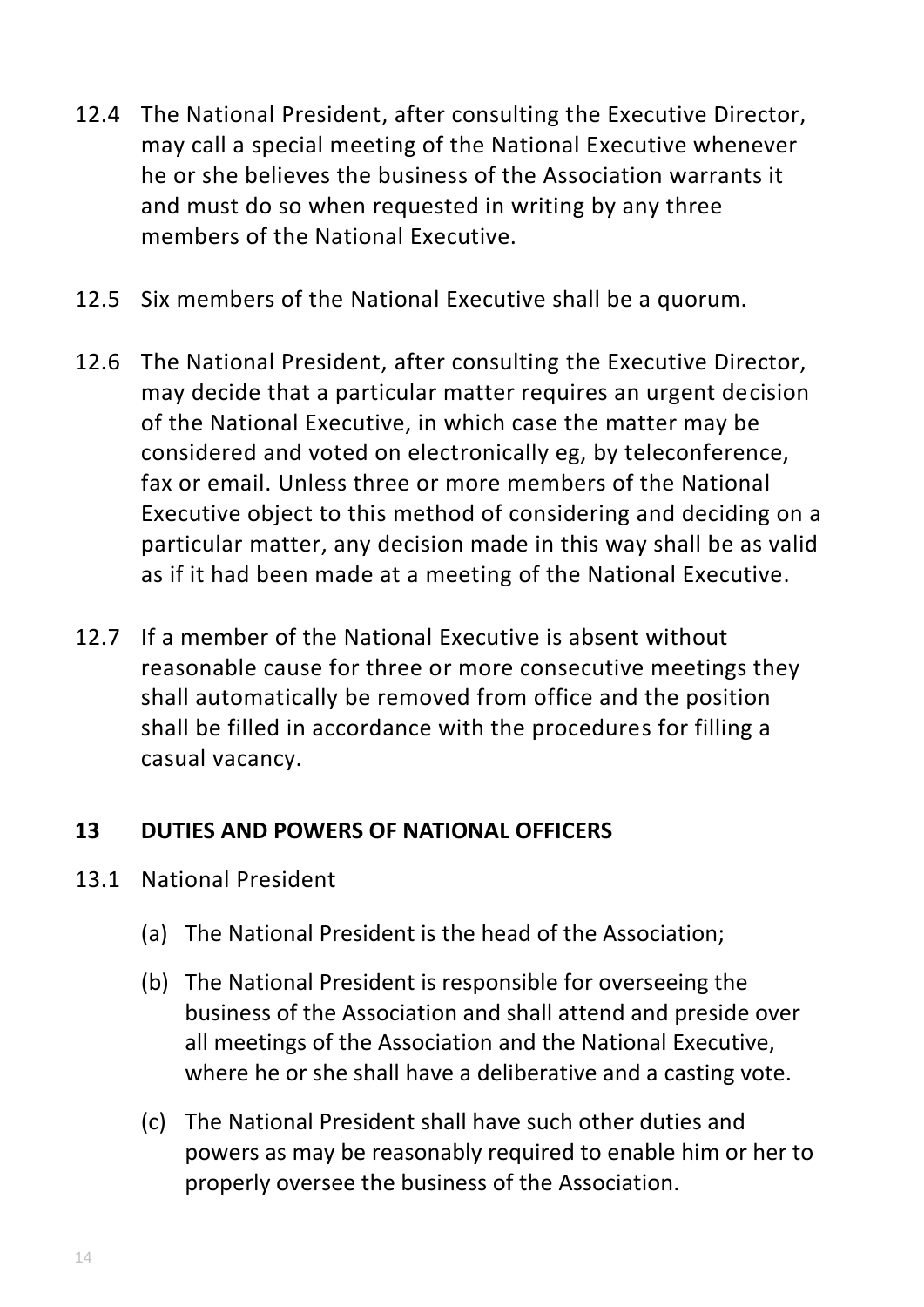- 12.4 The National President, after consulting the Executive Director, may call a special meeting of the National Executive whenever he or she believes the business of the Association warrants it and must do so when requested in writing by any three members of the National Executive.
- 12.5 Six members of the National Executive shall be a quorum.
- 12.6 The National President, after consulting the Executive Director, may decide that a particular matter requires an urgent decision of the National Executive, in which case the matter may be considered and voted on electronically eg, by teleconference, fax or email. Unless three or more members of the National Executive object to this method of considering and deciding on a particular matter, any decision made in this way shall be as valid as if it had been made at a meeting of the National Executive.
- 12.7 If a member of the National Executive is absent without reasonable cause for three or more consecutive meetings they shall automatically be removed from office and the position shall be filled in accordance with the procedures for filling a casual vacancy.

### **13 DUTIES AND POWERS OF NATIONAL OFFICERS**

- 13.1 National President
	- (a) The National President is the head of the Association;
	- (b) The National President is responsible for overseeing the business of the Association and shall attend and preside over all meetings of the Association and the National Executive, where he or she shall have a deliberative and a casting vote.
	- (c) The National President shall have such other duties and powers as may be reasonably required to enable him or her to properly oversee the business of the Association.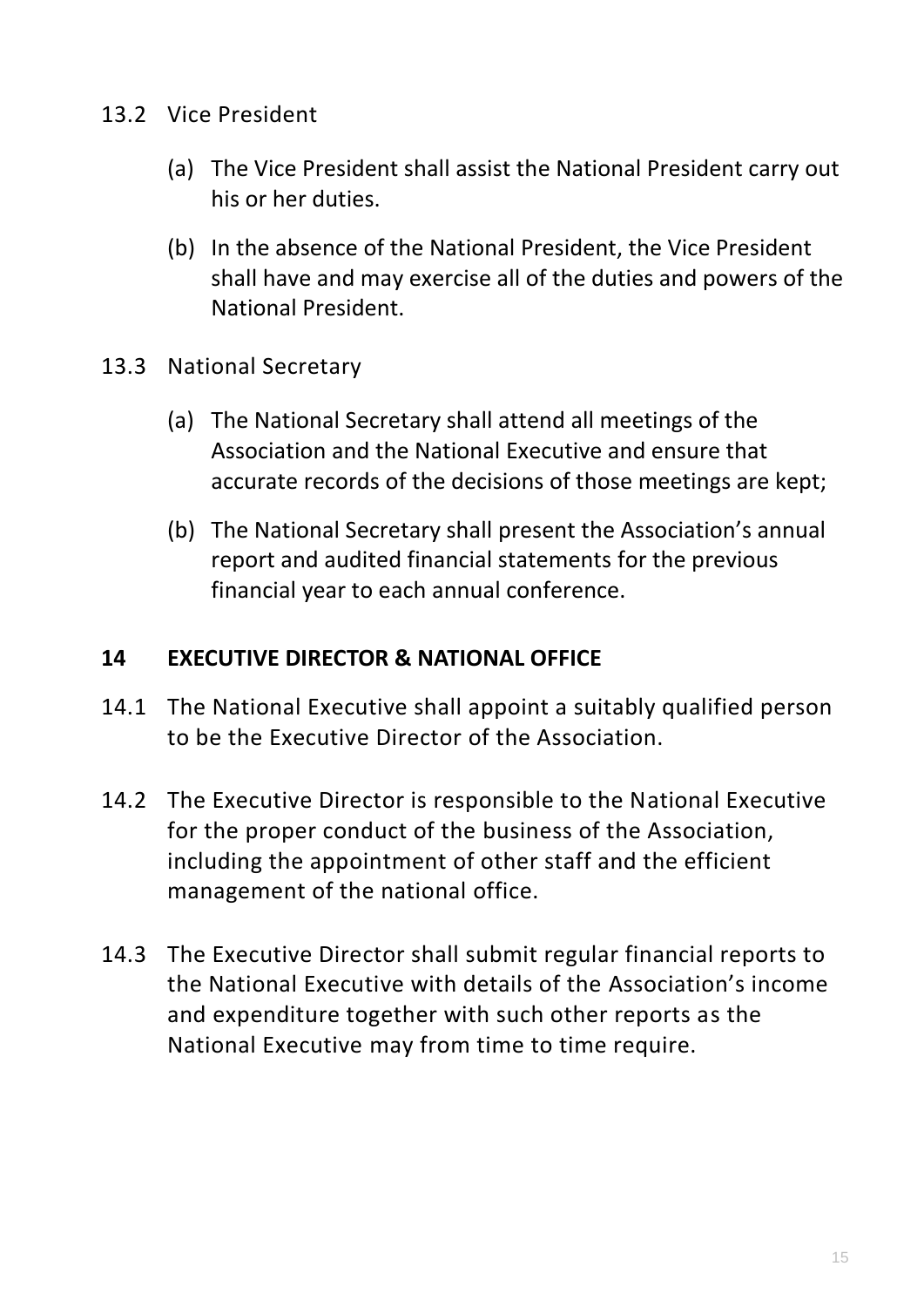- 13.2 Vice President
	- (a) The Vice President shall assist the National President carry out his or her duties.
	- (b) In the absence of the National President, the Vice President shall have and may exercise all of the duties and powers of the National President.
- 13.3 National Secretary
	- (a) The National Secretary shall attend all meetings of the Association and the National Executive and ensure that accurate records of the decisions of those meetings are kept;
	- (b) The National Secretary shall present the Association's annual report and audited financial statements for the previous financial year to each annual conference.

#### **14 EXECUTIVE DIRECTOR & NATIONAL OFFICE**

- 14.1 The National Executive shall appoint a suitably qualified person to be the Executive Director of the Association.
- 14.2 The Executive Director is responsible to the National Executive for the proper conduct of the business of the Association, including the appointment of other staff and the efficient management of the national office.
- 14.3 The Executive Director shall submit regular financial reports to the National Executive with details of the Association's income and expenditure together with such other reports as the National Executive may from time to time require.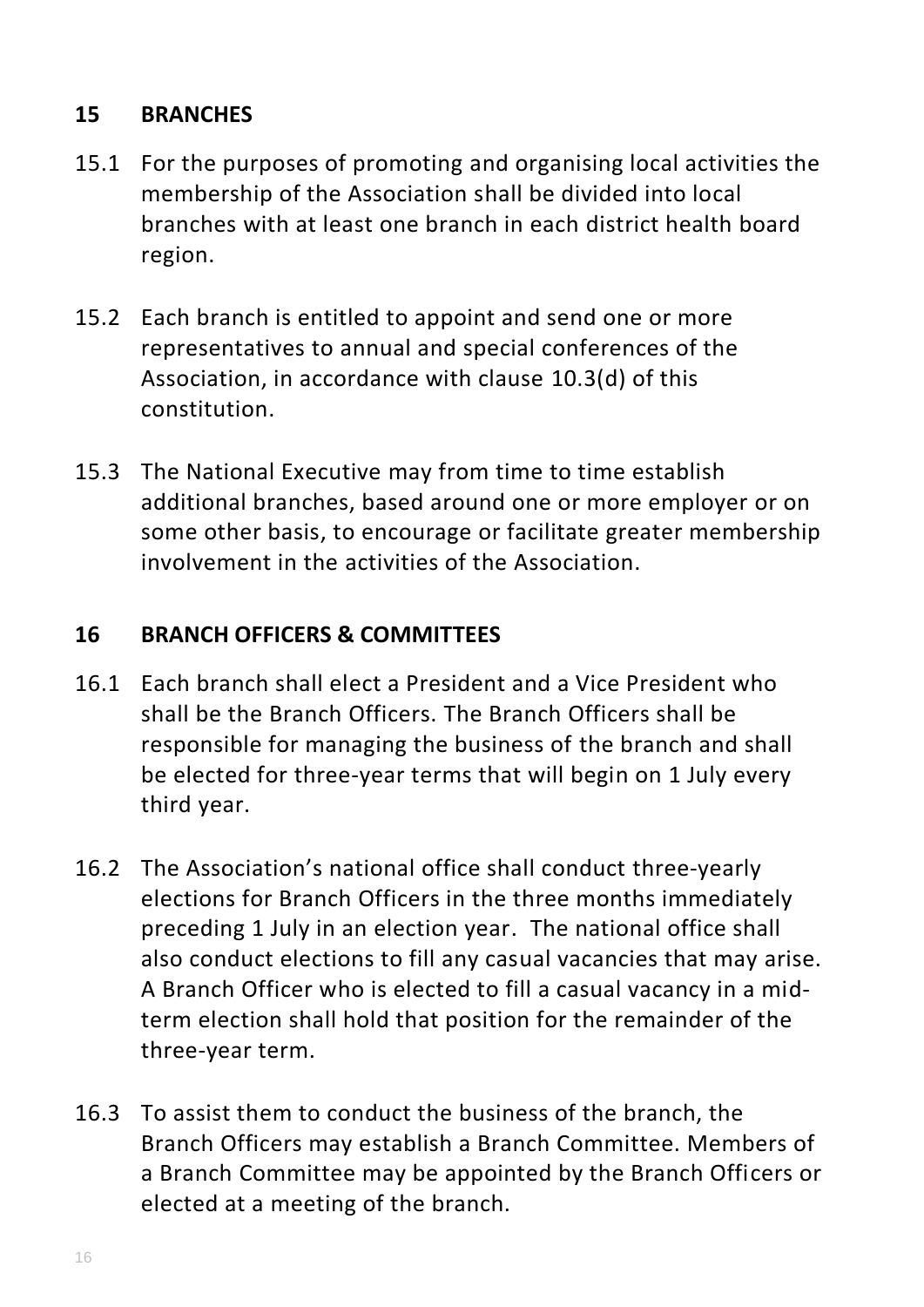# **15 BRANCHES**

- 15.1 For the purposes of promoting and organising local activities the membership of the Association shall be divided into local branches with at least one branch in each district health board region.
- 15.2 Each branch is entitled to appoint and send one or more representatives to annual and special conferences of the Association, in accordance with clause 10.3(d) of this constitution.
- 15.3 The National Executive may from time to time establish additional branches, based around one or more employer or on some other basis, to encourage or facilitate greater membership involvement in the activities of the Association.

### **16 BRANCH OFFICERS & COMMITTEES**

- 16.1 Each branch shall elect a President and a Vice President who shall be the Branch Officers. The Branch Officers shall be responsible for managing the business of the branch and shall be elected for three-year terms that will begin on 1 July every third year.
- 16.2 The Association's national office shall conduct three-yearly elections for Branch Officers in the three months immediately preceding 1 July in an election year. The national office shall also conduct elections to fill any casual vacancies that may arise. A Branch Officer who is elected to fill a casual vacancy in a midterm election shall hold that position for the remainder of the three-year term.
- 16.3 To assist them to conduct the business of the branch, the Branch Officers may establish a Branch Committee. Members of a Branch Committee may be appointed by the Branch Officers or elected at a meeting of the branch.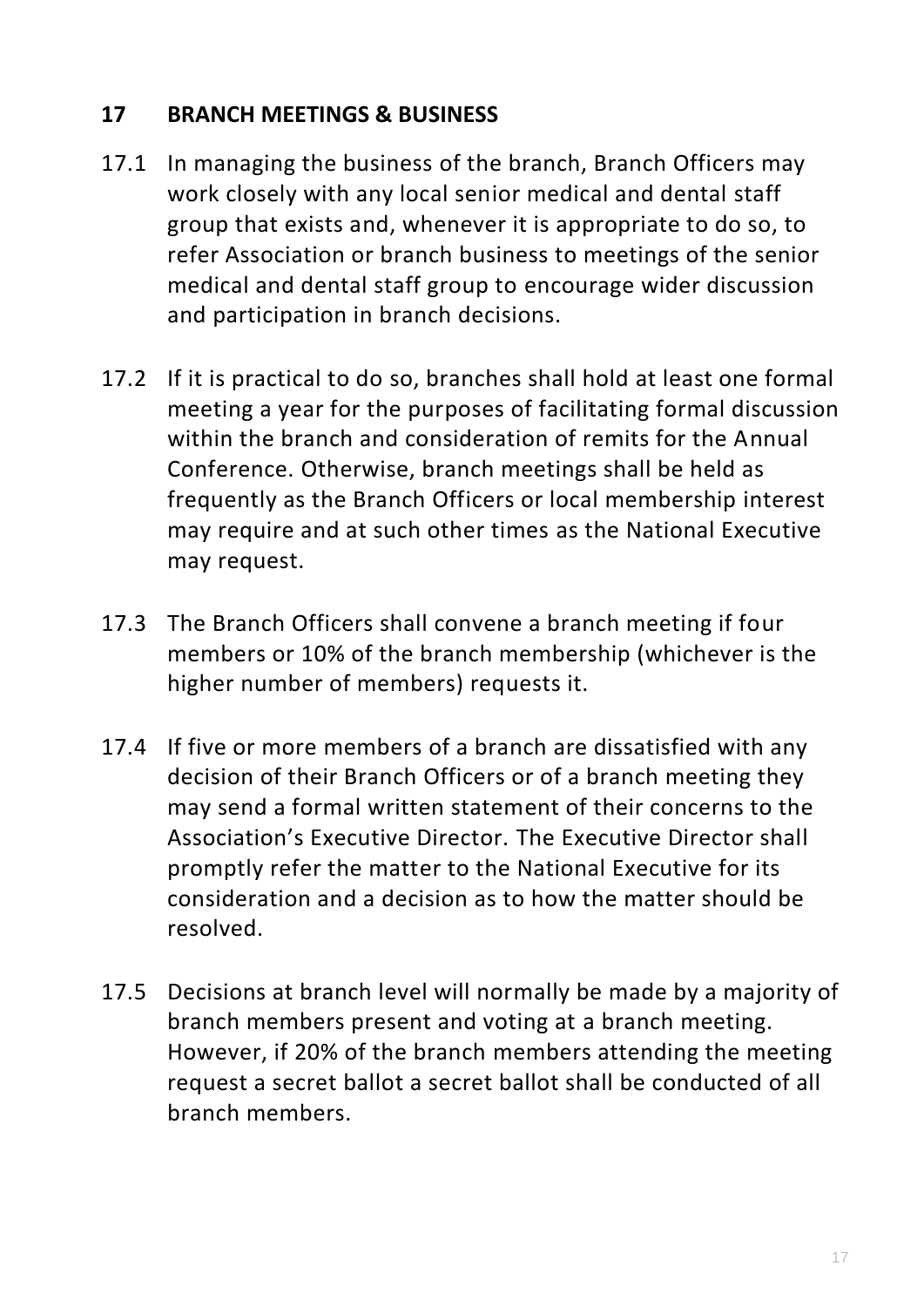# **17 BRANCH MEETINGS & BUSINESS**

- 17.1 In managing the business of the branch, Branch Officers may work closely with any local senior medical and dental staff group that exists and, whenever it is appropriate to do so, to refer Association or branch business to meetings of the senior medical and dental staff group to encourage wider discussion and participation in branch decisions.
- 17.2 If it is practical to do so, branches shall hold at least one formal meeting a year for the purposes of facilitating formal discussion within the branch and consideration of remits for the Annual Conference. Otherwise, branch meetings shall be held as frequently as the Branch Officers or local membership interest may require and at such other times as the National Executive may request.
- 17.3 The Branch Officers shall convene a branch meeting if four members or 10% of the branch membership (whichever is the higher number of members) requests it.
- 17.4 If five or more members of a branch are dissatisfied with any decision of their Branch Officers or of a branch meeting they may send a formal written statement of their concerns to the Association's Executive Director. The Executive Director shall promptly refer the matter to the National Executive for its consideration and a decision as to how the matter should be resolved.
- 17.5 Decisions at branch level will normally be made by a majority of branch members present and voting at a branch meeting. However, if 20% of the branch members attending the meeting request a secret ballot a secret ballot shall be conducted of all branch members.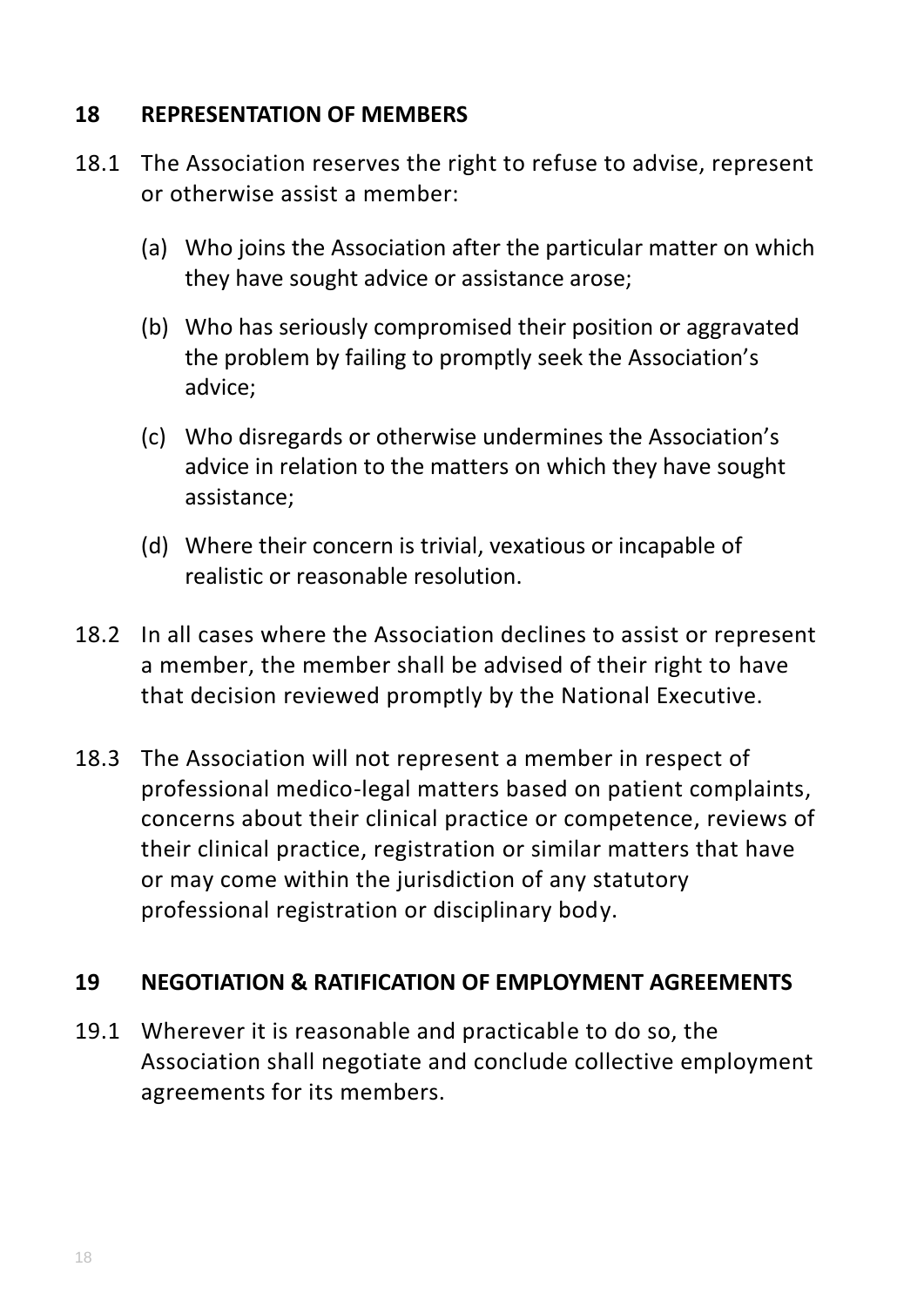### **18 REPRESENTATION OF MEMBERS**

- 18.1 The Association reserves the right to refuse to advise, represent or otherwise assist a member:
	- (a) Who joins the Association after the particular matter on which they have sought advice or assistance arose;
	- (b) Who has seriously compromised their position or aggravated the problem by failing to promptly seek the Association's advice;
	- (c) Who disregards or otherwise undermines the Association's advice in relation to the matters on which they have sought assistance;
	- (d) Where their concern is trivial, vexatious or incapable of realistic or reasonable resolution.
- 18.2 In all cases where the Association declines to assist or represent a member, the member shall be advised of their right to have that decision reviewed promptly by the National Executive.
- 18.3 The Association will not represent a member in respect of professional medico-legal matters based on patient complaints, concerns about their clinical practice or competence, reviews of their clinical practice, registration or similar matters that have or may come within the jurisdiction of any statutory professional registration or disciplinary body.

### **19 NEGOTIATION & RATIFICATION OF EMPLOYMENT AGREEMENTS**

19.1 Wherever it is reasonable and practicable to do so, the Association shall negotiate and conclude collective employment agreements for its members.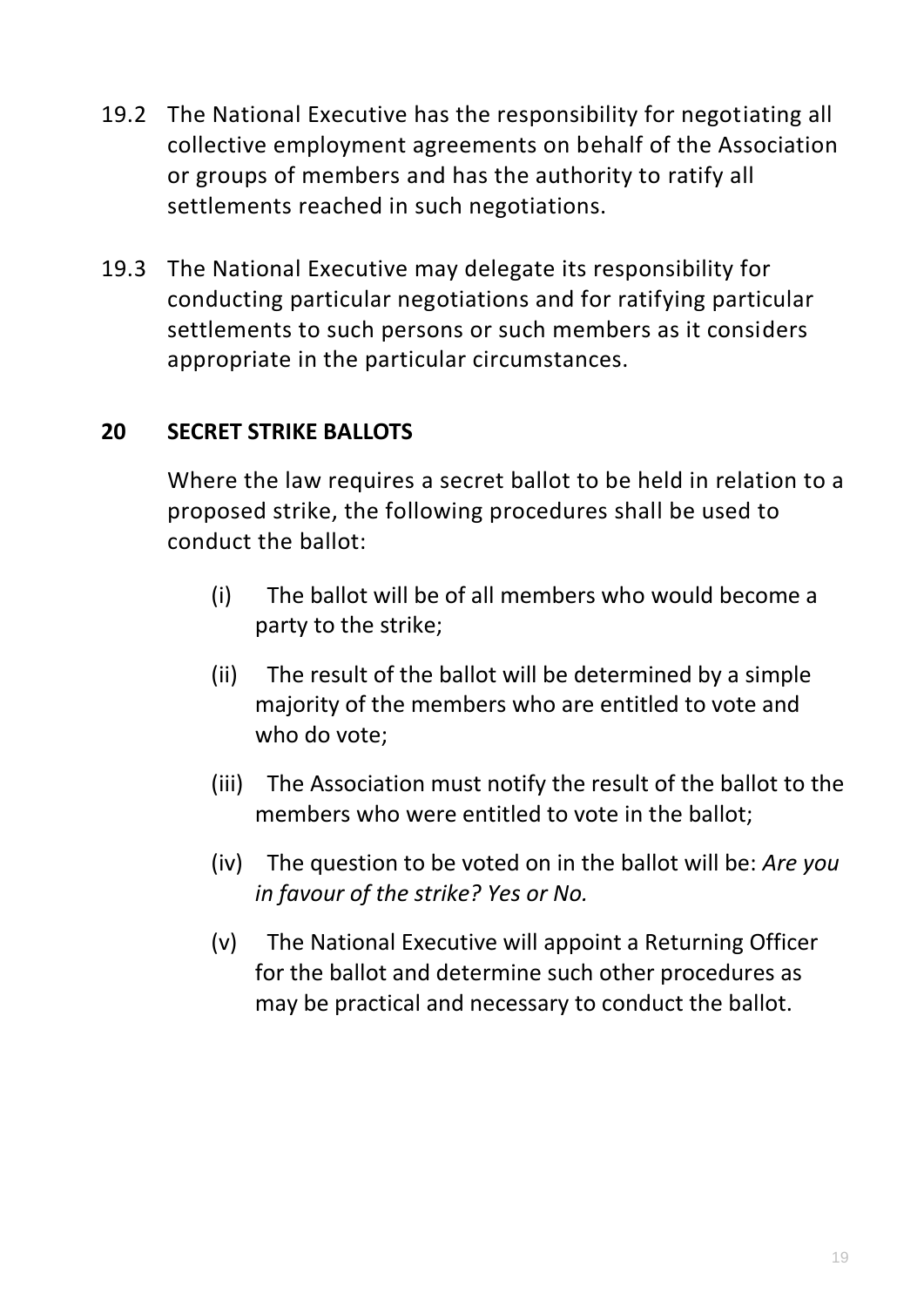- 19.2 The National Executive has the responsibility for negotiating all collective employment agreements on behalf of the Association or groups of members and has the authority to ratify all settlements reached in such negotiations.
- 19.3 The National Executive may delegate its responsibility for conducting particular negotiations and for ratifying particular settlements to such persons or such members as it considers appropriate in the particular circumstances.

# **20 SECRET STRIKE BALLOTS**

Where the law requires a secret ballot to be held in relation to a proposed strike, the following procedures shall be used to conduct the ballot:

- (i) The ballot will be of all members who would become a party to the strike;
- (ii) The result of the ballot will be determined by a simple majority of the members who are entitled to vote and who do vote;
- (iii) The Association must notify the result of the ballot to the members who were entitled to vote in the ballot;
- (iv) The question to be voted on in the ballot will be: *Are you in favour of the strike? Yes or No.*
- (v) The National Executive will appoint a Returning Officer for the ballot and determine such other procedures as may be practical and necessary to conduct the ballot.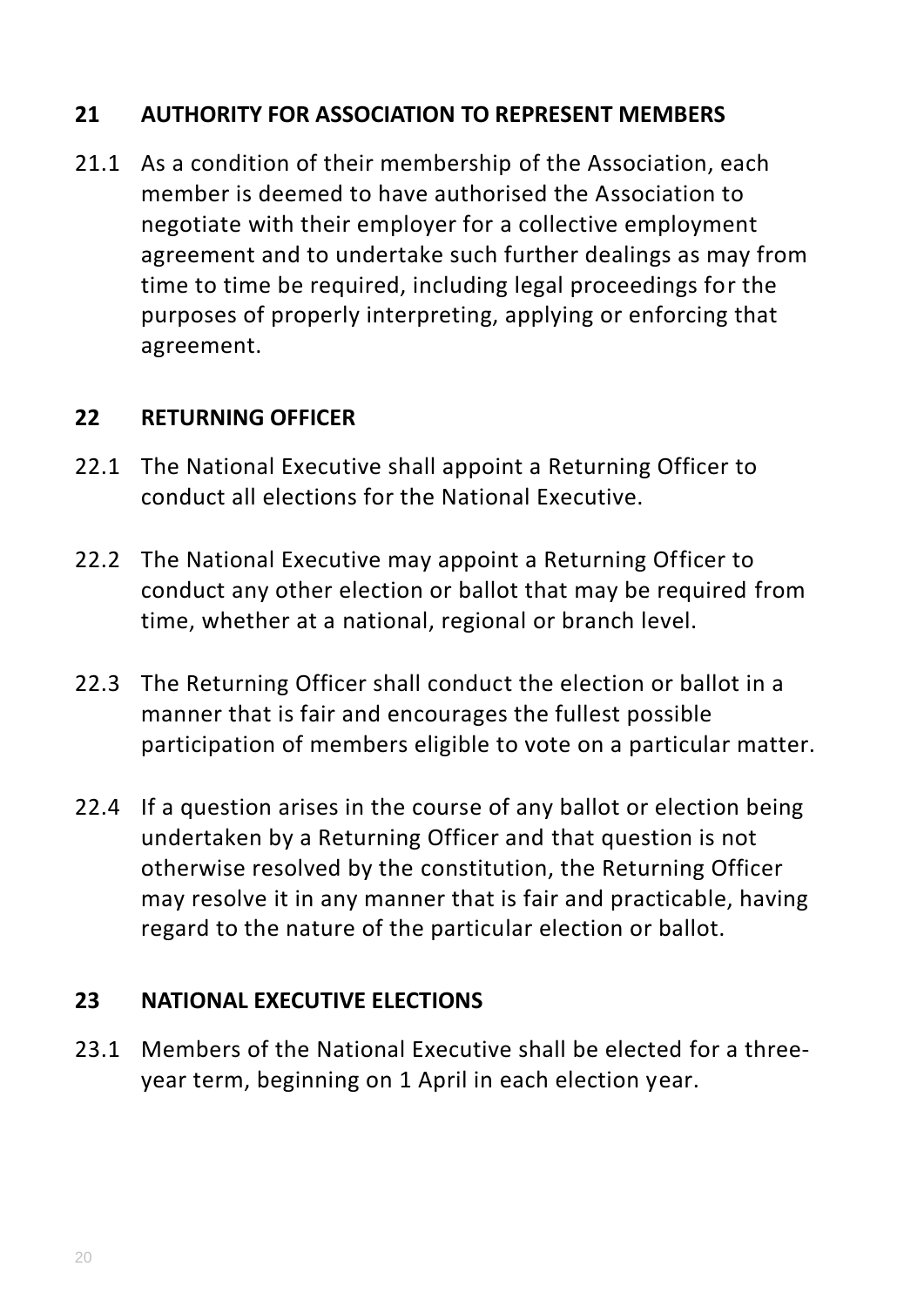# **21 AUTHORITY FOR ASSOCIATION TO REPRESENT MEMBERS**

21.1 As a condition of their membership of the Association, each member is deemed to have authorised the Association to negotiate with their employer for a collective employment agreement and to undertake such further dealings as may from time to time be required, including legal proceedings for the purposes of properly interpreting, applying or enforcing that agreement.

#### **22 RETURNING OFFICER**

- 22.1 The National Executive shall appoint a Returning Officer to conduct all elections for the National Executive.
- 22.2 The National Executive may appoint a Returning Officer to conduct any other election or ballot that may be required from time, whether at a national, regional or branch level.
- 22.3 The Returning Officer shall conduct the election or ballot in a manner that is fair and encourages the fullest possible participation of members eligible to vote on a particular matter.
- 22.4 If a question arises in the course of any ballot or election being undertaken by a Returning Officer and that question is not otherwise resolved by the constitution, the Returning Officer may resolve it in any manner that is fair and practicable, having regard to the nature of the particular election or ballot.

### **23 NATIONAL EXECUTIVE ELECTIONS**

23.1 Members of the National Executive shall be elected for a threeyear term, beginning on 1 April in each election year.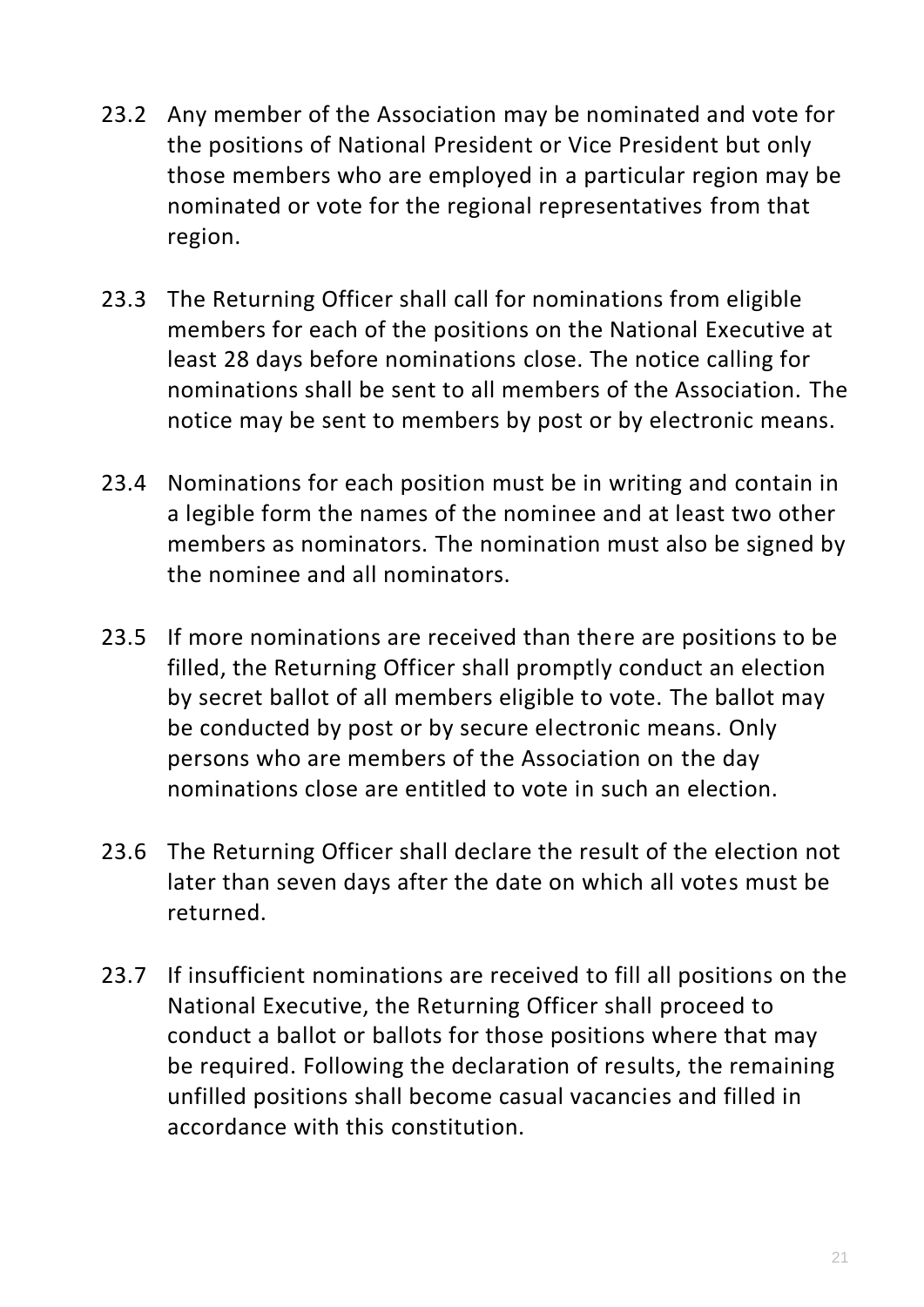- 23.2 Any member of the Association may be nominated and vote for the positions of National President or Vice President but only those members who are employed in a particular region may be nominated or vote for the regional representatives from that region.
- 23.3 The Returning Officer shall call for nominations from eligible members for each of the positions on the National Executive at least 28 days before nominations close. The notice calling for nominations shall be sent to all members of the Association. The notice may be sent to members by post or by electronic means.
- 23.4 Nominations for each position must be in writing and contain in a legible form the names of the nominee and at least two other members as nominators. The nomination must also be signed by the nominee and all nominators.
- 23.5 If more nominations are received than there are positions to be filled, the Returning Officer shall promptly conduct an election by secret ballot of all members eligible to vote. The ballot may be conducted by post or by secure electronic means. Only persons who are members of the Association on the day nominations close are entitled to vote in such an election.
- 23.6 The Returning Officer shall declare the result of the election not later than seven days after the date on which all votes must be returned.
- 23.7 If insufficient nominations are received to fill all positions on the National Executive, the Returning Officer shall proceed to conduct a ballot or ballots for those positions where that may be required. Following the declaration of results, the remaining unfilled positions shall become casual vacancies and filled in accordance with this constitution.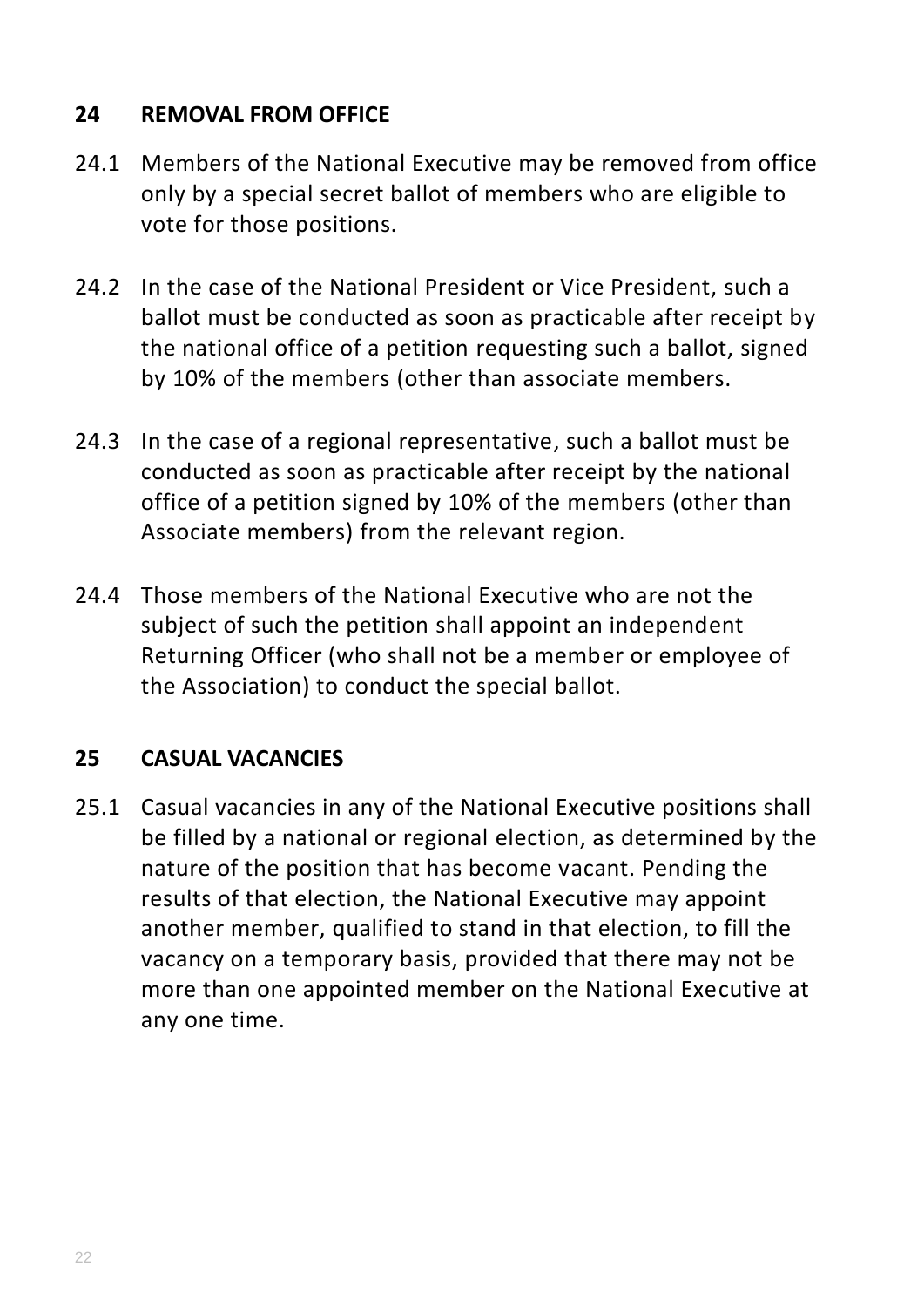# **24 REMOVAL FROM OFFICE**

- 24.1 Members of the National Executive may be removed from office only by a special secret ballot of members who are eligible to vote for those positions.
- 24.2 In the case of the National President or Vice President, such a ballot must be conducted as soon as practicable after receipt by the national office of a petition requesting such a ballot, signed by 10% of the members (other than associate members.
- 24.3 In the case of a regional representative, such a ballot must be conducted as soon as practicable after receipt by the national office of a petition signed by 10% of the members (other than Associate members) from the relevant region.
- 24.4 Those members of the National Executive who are not the subject of such the petition shall appoint an independent Returning Officer (who shall not be a member or employee of the Association) to conduct the special ballot.

### **25 CASUAL VACANCIES**

25.1 Casual vacancies in any of the National Executive positions shall be filled by a national or regional election, as determined by the nature of the position that has become vacant. Pending the results of that election, the National Executive may appoint another member, qualified to stand in that election, to fill the vacancy on a temporary basis, provided that there may not be more than one appointed member on the National Executive at any one time.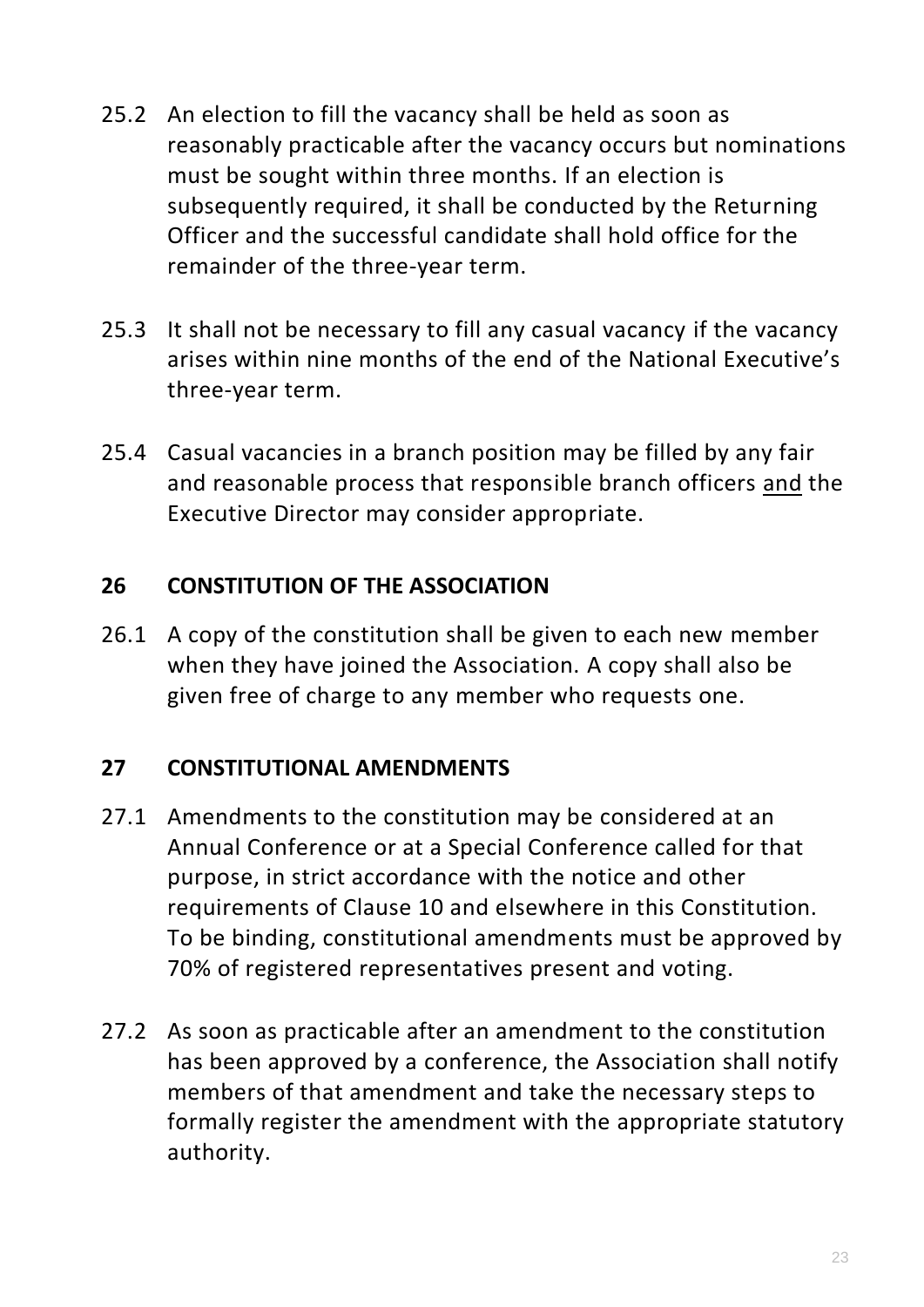- 25.2 An election to fill the vacancy shall be held as soon as reasonably practicable after the vacancy occurs but nominations must be sought within three months. If an election is subsequently required, it shall be conducted by the Returning Officer and the successful candidate shall hold office for the remainder of the three-year term.
- 25.3 It shall not be necessary to fill any casual vacancy if the vacancy arises within nine months of the end of the National Executive's three-year term.
- 25.4 Casual vacancies in a branch position may be filled by any fair and reasonable process that responsible branch officers and the Executive Director may consider appropriate.

# **26 CONSTITUTION OF THE ASSOCIATION**

26.1 A copy of the constitution shall be given to each new member when they have joined the Association. A copy shall also be given free of charge to any member who requests one.

# **27 CONSTITUTIONAL AMENDMENTS**

- 27.1 Amendments to the constitution may be considered at an Annual Conference or at a Special Conference called for that purpose, in strict accordance with the notice and other requirements of Clause 10 and elsewhere in this Constitution. To be binding, constitutional amendments must be approved by 70% of registered representatives present and voting.
- 27.2 As soon as practicable after an amendment to the constitution has been approved by a conference, the Association shall notify members of that amendment and take the necessary steps to formally register the amendment with the appropriate statutory authority.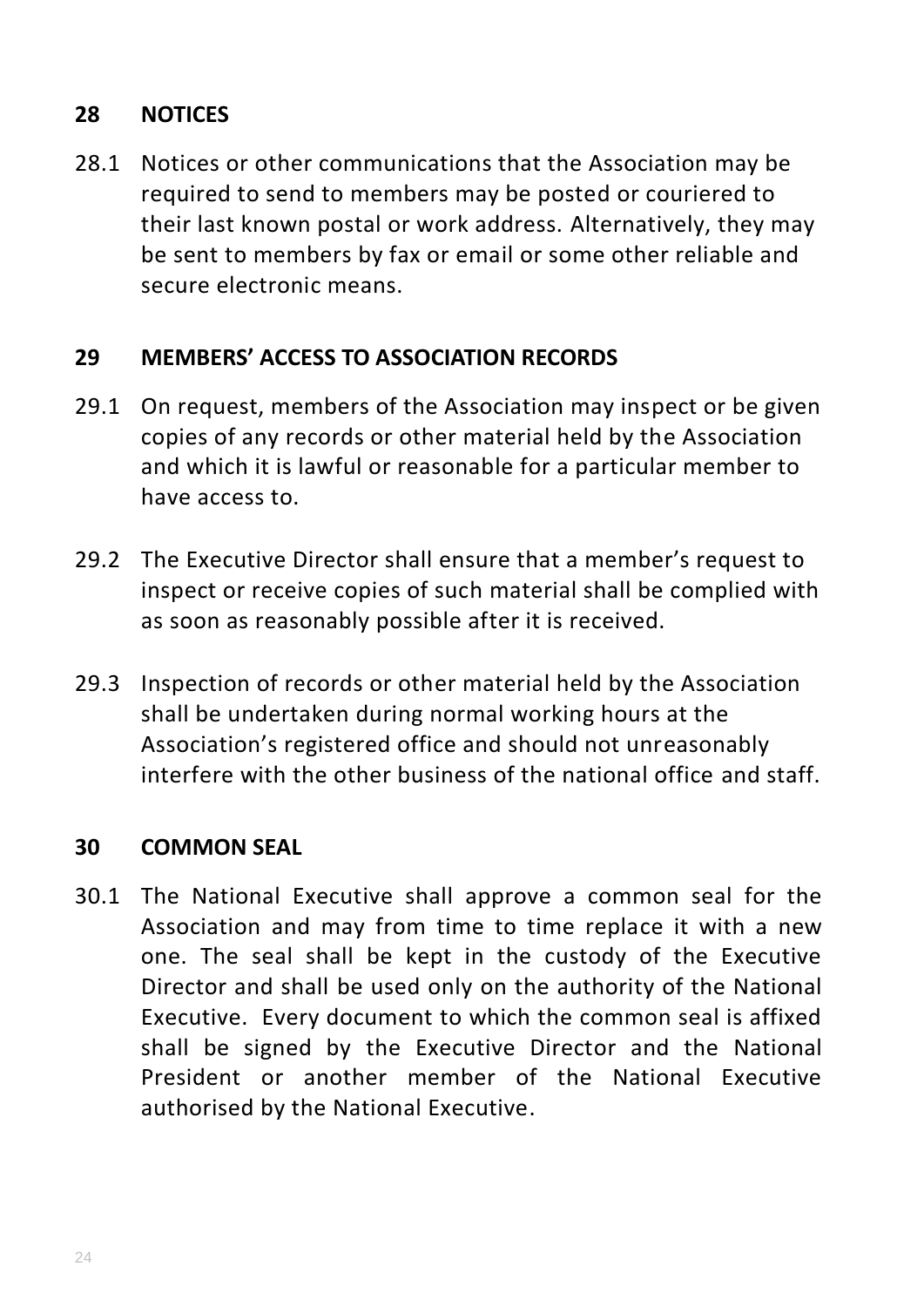# **28 NOTICES**

28.1 Notices or other communications that the Association may be required to send to members may be posted or couriered to their last known postal or work address. Alternatively, they may be sent to members by fax or email or some other reliable and secure electronic means.

#### **29 MEMBERS' ACCESS TO ASSOCIATION RECORDS**

- 29.1 On request, members of the Association may inspect or be given copies of any records or other material held by the Association and which it is lawful or reasonable for a particular member to have access to.
- 29.2 The Executive Director shall ensure that a member's request to inspect or receive copies of such material shall be complied with as soon as reasonably possible after it is received.
- 29.3 Inspection of records or other material held by the Association shall be undertaken during normal working hours at the Association's registered office and should not unreasonably interfere with the other business of the national office and staff.

#### **30 COMMON SEAL**

30.1 The National Executive shall approve a common seal for the Association and may from time to time replace it with a new one. The seal shall be kept in the custody of the Executive Director and shall be used only on the authority of the National Executive. Every document to which the common seal is affixed shall be signed by the Executive Director and the National President or another member of the National Executive authorised by the National Executive.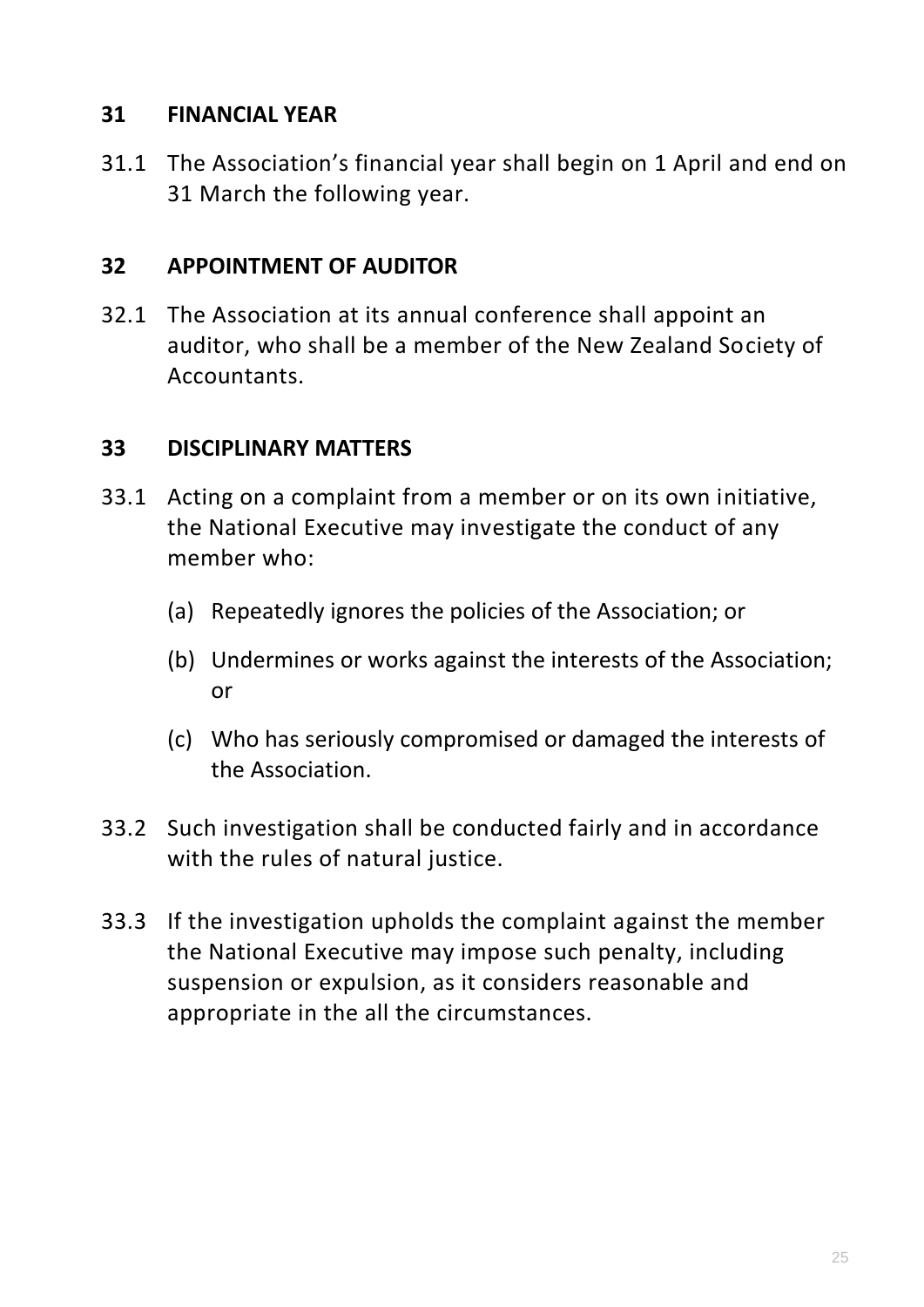#### **31 FINANCIAL YEAR**

31.1 The Association's financial year shall begin on 1 April and end on 31 March the following year.

#### **32 APPOINTMENT OF AUDITOR**

32.1 The Association at its annual conference shall appoint an auditor, who shall be a member of the New Zealand Society of Accountants.

#### **33 DISCIPLINARY MATTERS**

- 33.1 Acting on a complaint from a member or on its own initiative, the National Executive may investigate the conduct of any member who:
	- (a) Repeatedly ignores the policies of the Association; or
	- (b) Undermines or works against the interests of the Association; or
	- (c) Who has seriously compromised or damaged the interests of the Association.
- 33.2 Such investigation shall be conducted fairly and in accordance with the rules of natural justice.
- 33.3 If the investigation upholds the complaint against the member the National Executive may impose such penalty, including suspension or expulsion, as it considers reasonable and appropriate in the all the circumstances.